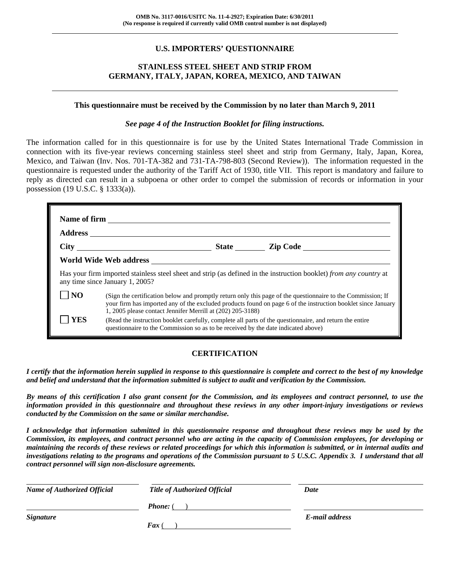# **U.S. IMPORTERS' QUESTIONNAIRE**

# **STAINLESS STEEL SHEET AND STRIP FROM GERMANY, ITALY, JAPAN, KOREA, MEXICO, AND TAIWAN**

# **This questionnaire must be received by the Commission by no later than March 9, 2011**

## *See page 4 of the Instruction Booklet for filing instructions.*

The information called for in this questionnaire is for use by the United States International Trade Commission in connection with its five-year reviews concerning stainless steel sheet and strip from Germany, Italy, Japan, Korea, Mexico, and Taiwan (Inv. Nos. 701-TA-382 and 731-TA-798-803 (Second Review)). The information requested in the questionnaire is requested under the authority of the Tariff Act of 1930, title VII. This report is mandatory and failure to reply as directed can result in a subpoena or other order to compel the submission of records or information in your possession (19 U.S.C. § 1333(a)).

|                 | World Wide Web address                                                            |  |                                                                                                                                                                                                                             |  |
|-----------------|-----------------------------------------------------------------------------------|--|-----------------------------------------------------------------------------------------------------------------------------------------------------------------------------------------------------------------------------|--|
|                 | any time since January 1, 2005?                                                   |  | Has your firm imported stainless steel sheet and strip (as defined in the instruction booklet) from any country at                                                                                                          |  |
| NO <sub>1</sub> | 1, 2005 please contact Jennifer Merrill at (202) 205-3188)                        |  | (Sign the certification below and promptly return only this page of the questionnaire to the Commission; If<br>your firm has imported any of the excluded products found on page 6 of the instruction booklet since January |  |
| <b>YES</b>      | questionnaire to the Commission so as to be received by the date indicated above) |  | (Read the instruction booklet carefully, complete all parts of the questionnaire, and return the entire                                                                                                                     |  |

# **CERTIFICATION**

*I certify that the information herein supplied in response to this questionnaire is complete and correct to the best of my knowledge and belief and understand that the information submitted is subject to audit and verification by the Commission.* 

*By means of this certification I also grant consent for the Commission, and its employees and contract personnel, to use the information provided in this questionnaire and throughout these reviews in any other import-injury investigations or reviews conducted by the Commission on the same or similar merchandise.* 

*I acknowledge that information submitted in this questionnaire response and throughout these reviews may be used by the Commission, its employees, and contract personnel who are acting in the capacity of Commission employees, for developing or maintaining the records of these reviews or related proceedings for which this information is submitted, or in internal audits and investigations relating to the programs and operations of the Commission pursuant to 5 U.S.C. Appendix 3. I understand that all contract personnel will sign non-disclosure agreements.* 

| <b>Name of Authorized Official</b> | <b>Title of Authorized Official</b> | Date           |  |
|------------------------------------|-------------------------------------|----------------|--|
|                                    | <b>Phone:</b> (                     |                |  |
| <i>Signature</i>                   |                                     | E-mail address |  |
|                                    | Fax                                 |                |  |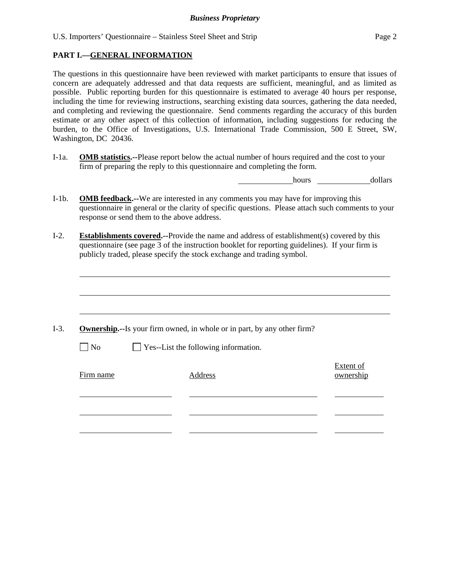U.S. Importers' Questionnaire – Stainless Steel Sheet and Strip Page 2

# **PART I.—GENERAL INFORMATION**

 $\overline{a}$ 

The questions in this questionnaire have been reviewed with market participants to ensure that issues of concern are adequately addressed and that data requests are sufficient, meaningful, and as limited as possible. Public reporting burden for this questionnaire is estimated to average 40 hours per response, including the time for reviewing instructions, searching existing data sources, gathering the data needed, and completing and reviewing the questionnaire. Send comments regarding the accuracy of this burden estimate or any other aspect of this collection of information, including suggestions for reducing the burden, to the Office of Investigations, U.S. International Trade Commission, 500 E Street, SW, Washington, DC 20436.

I-1a. **OMB statistics.--**Please report below the actual number of hours required and the cost to your firm of preparing the reply to this questionnaire and completing the form.

hours dollars

- I-1b. **OMB feedback.--**We are interested in any comments you may have for improving this questionnaire in general or the clarity of specific questions. Please attach such comments to your response or send them to the above address.
- I-2. **Establishments covered.--**Provide the name and address of establishment(s) covered by this questionnaire (see page 3 of the instruction booklet for reporting guidelines). If your firm is publicly traded, please specify the stock exchange and trading symbol.

|                   | <b>Ownership.</b> --Is your firm owned, in whole or in part, by any other firm? |                        |
|-------------------|---------------------------------------------------------------------------------|------------------------|
| $\blacksquare$ No | $\Box$ Yes--List the following information.                                     |                        |
| Firm name         | Address                                                                         | Extent of<br>ownership |
|                   |                                                                                 |                        |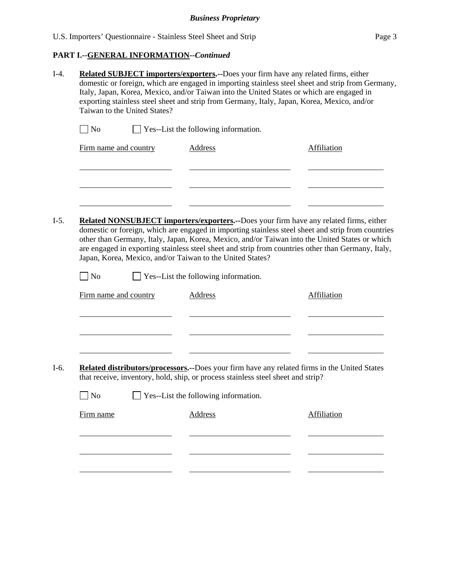# **PART I.--GENERAL INFORMATION***--Continued*

|                       | Taiwan to the United States? |                                                                                                   | exporting stainless steel sheet and strip from Germany, Italy, Japan, Korea, Mexico, and/or                                                                                                          |
|-----------------------|------------------------------|---------------------------------------------------------------------------------------------------|------------------------------------------------------------------------------------------------------------------------------------------------------------------------------------------------------|
| $\blacksquare$ No     |                              | Yes--List the following information.                                                              |                                                                                                                                                                                                      |
| Firm name and country |                              | <b>Address</b>                                                                                    | <b>Affiliation</b>                                                                                                                                                                                   |
|                       |                              |                                                                                                   |                                                                                                                                                                                                      |
|                       |                              |                                                                                                   | <b>Related NONSUBJECT importers/exporters.</b> --Does your firm have any related firms, either<br>domestic or foreign, which are engaged in importing stainless steel sheet and strip from countries |
| $\Box$ No             |                              | Japan, Korea, Mexico, and/or Taiwan to the United States?<br>Yes--List the following information. | other than Germany, Italy, Japan, Korea, Mexico, and/or Taiwan into the United States or which<br>are engaged in exporting stainless steel sheet and strip from countries other than Germany, Italy, |
| Firm name and country |                              | <b>Address</b>                                                                                    | Affiliation                                                                                                                                                                                          |
|                       |                              |                                                                                                   |                                                                                                                                                                                                      |
|                       |                              | that receive, inventory, hold, ship, or process stainless steel sheet and strip?                  | Related distributors/processors.--Does your firm have any related firms in the United States                                                                                                         |
| $\Box$ No             |                              | $\Box$ Yes--List the following information.                                                       |                                                                                                                                                                                                      |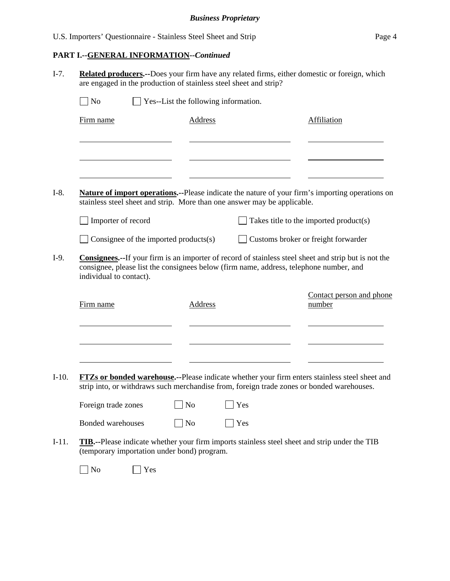# **PART I.--GENERAL INFORMATION***--Continued*

| $\vert$ No               | Yes--List the following information.                                     |     |                                                                                                                           |
|--------------------------|--------------------------------------------------------------------------|-----|---------------------------------------------------------------------------------------------------------------------------|
| Firm name                | <b>Address</b>                                                           |     | Affiliation                                                                                                               |
|                          |                                                                          |     |                                                                                                                           |
|                          |                                                                          |     |                                                                                                                           |
|                          | stainless steel sheet and strip. More than one answer may be applicable. |     | <b>Nature of import operations.</b> --Please indicate the nature of your firm's importing operations on                   |
| Importer of record       |                                                                          |     | Takes title to the imported product(s)                                                                                    |
|                          | Consignee of the imported products $(s)$                                 |     | Customs broker or freight forwarder                                                                                       |
| individual to contact).  |                                                                          |     |                                                                                                                           |
| Firm name                | <b>Address</b>                                                           |     | number                                                                                                                    |
|                          |                                                                          |     | strip into, or withdraws such merchandise from, foreign trade zones or bonded warehouses.                                 |
| Foreign trade zones      | N <sub>0</sub>                                                           | Yes | Contact person and phone<br>FTZs or bonded warehouse.--Please indicate whether your firm enters stainless steel sheet and |
| <b>Bonded warehouses</b> | N <sub>o</sub>                                                           | Yes |                                                                                                                           |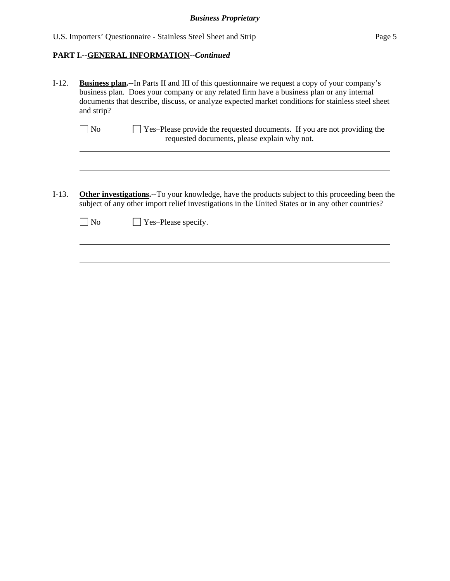# **PART I.--GENERAL INFORMATION***--Continued*

| $I-12.$ | <b>Business plan.</b> --In Parts II and III of this questionnaire we request a copy of your company's<br>business plan. Does your company or any related firm have a business plan or any internal<br>documents that describe, discuss, or analyze expected market conditions for stainless steel sheet<br>and strip? |
|---------|-----------------------------------------------------------------------------------------------------------------------------------------------------------------------------------------------------------------------------------------------------------------------------------------------------------------------|
|         | Yes-Please provide the requested documents. If you are not providing the<br>N <sub>0</sub><br>requested documents, please explain why not.                                                                                                                                                                            |
|         |                                                                                                                                                                                                                                                                                                                       |
| $I-13.$ | <b>Other investigations.--To your knowledge, have the products subject to this proceeding been the</b><br>subject of any other import relief investigations in the United States or in any other countries?                                                                                                           |
|         | Yes-Please specify.<br>No                                                                                                                                                                                                                                                                                             |
|         |                                                                                                                                                                                                                                                                                                                       |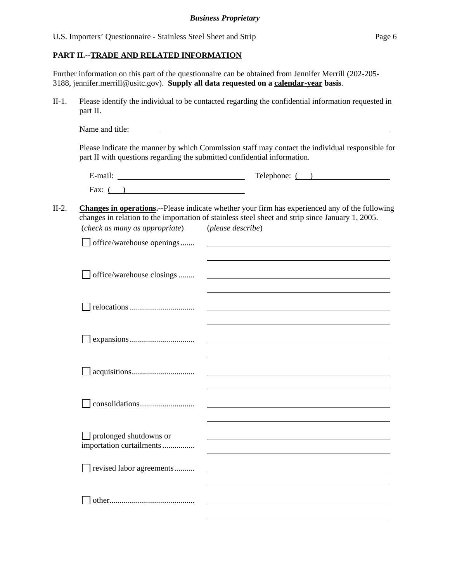# **PART II.--TRADE AND RELATED INFORMATION**

Further information on this part of the questionnaire can be obtained from Jennifer Merrill (202-205- 3188, jennifer.merrill@usitc.gov). **Supply all data requested on a calendar-year basis**.

II-1. Please identify the individual to be contacted regarding the confidential information requested in part II.

|                                                           | $\text{Telephone:} \quad \textcircled{1}$                                                                                                                                                                  |
|-----------------------------------------------------------|------------------------------------------------------------------------------------------------------------------------------------------------------------------------------------------------------------|
| Fax: $($ )                                                |                                                                                                                                                                                                            |
|                                                           | <b>Changes in operations.</b> --Please indicate whether your firm has experienced any of the following<br>changes in relation to the importation of stainless steel sheet and strip since January 1, 2005. |
| (check as many as appropriate)                            | (please describe)                                                                                                                                                                                          |
| $\Box$ office/warehouse openings                          | <u> 1989 - Johann Stoff, deutscher Stoffen und der Stoffen und der Stoffen und der Stoffen und der Stoffen und der</u>                                                                                     |
| office/warehouse closings                                 |                                                                                                                                                                                                            |
|                                                           |                                                                                                                                                                                                            |
|                                                           | <u> 1989 - Andrea Stadt Britain, amerikansk politik (d. 1989)</u>                                                                                                                                          |
|                                                           |                                                                                                                                                                                                            |
|                                                           |                                                                                                                                                                                                            |
| $\Box$ prolonged shutdowns or<br>importation curtailments |                                                                                                                                                                                                            |
| revised labor agreements                                  |                                                                                                                                                                                                            |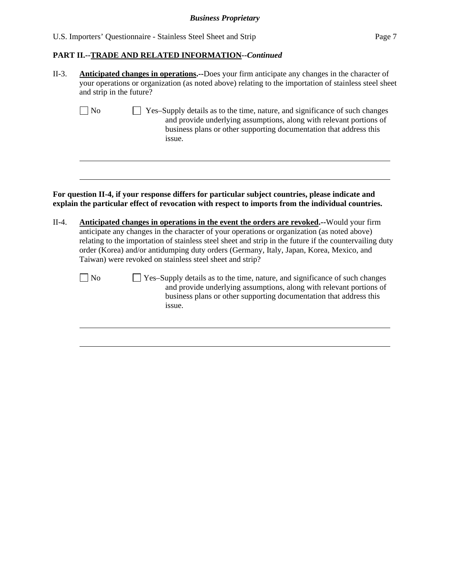| U.S. Importers' Questionnaire - Stainless Steel Sheet and Strip | Page 7 |
|-----------------------------------------------------------------|--------|
|-----------------------------------------------------------------|--------|

#### **PART II.--TRADE AND RELATED INFORMATION***--Continued*

| $II-3.$ | <b>Anticipated changes in operations.</b> --Does your firm anticipate any changes in the character of |
|---------|-------------------------------------------------------------------------------------------------------|
|         | your operations or organization (as noted above) relating to the importation of stainless steel sheet |
|         | and strip in the future?                                                                              |

| No | Yes-Supply details as to the time, nature, and significance of such changes |
|----|-----------------------------------------------------------------------------|
|    | and provide underlying assumptions, along with relevant portions of         |
|    | business plans or other supporting documentation that address this          |
|    | <i>ssue.</i>                                                                |

# **For question II-4, if your response differs for particular subject countries, please indicate and explain the particular effect of revocation with respect to imports from the individual countries.**

- II-4. **Anticipated changes in operations in the event the orders are revoked.--**Would your firm anticipate any changes in the character of your operations or organization (as noted above) relating to the importation of stainless steel sheet and strip in the future if the countervailing duty order (Korea) and/or antidumping duty orders (Germany, Italy, Japan, Korea, Mexico, and Taiwan) were revoked on stainless steel sheet and strip?
	-

l

l

No Yes–Supply details as to the time, nature, and significance of such changes and provide underlying assumptions, along with relevant portions of business plans or other supporting documentation that address this issue.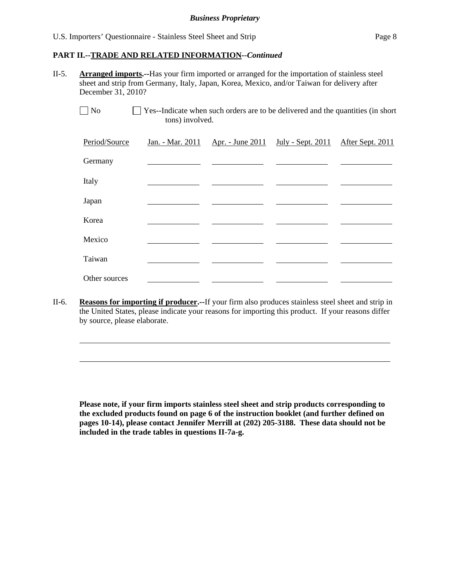l

#### **PART II.--TRADE AND RELATED INFORMATION***--Continued*

II-5. **Arranged imports.--**Has your firm imported or arranged for the importation of stainless steel sheet and strip from Germany, Italy, Japan, Korea, Mexico, and/or Taiwan for delivery after December 31, 2010?

No  $\Box$  Yes--Indicate when such orders are to be delivered and the quantities (in short tons) involved.

| Period/Source | Jan. - Mar. 2011 | <u>Apr. - June 2011 July - Sept. 2011</u> | After Sept. 2011 |
|---------------|------------------|-------------------------------------------|------------------|
| Germany       |                  |                                           |                  |
| Italy         |                  |                                           |                  |
| Japan         |                  |                                           |                  |
| Korea         |                  |                                           |                  |
| Mexico        |                  |                                           |                  |
| Taiwan        |                  |                                           |                  |
| Other sources |                  |                                           |                  |

II-6. **Reasons for importing if producer.--**If your firm also produces stainless steel sheet and strip in the United States, please indicate your reasons for importing this product. If your reasons differ by source, please elaborate.

**Please note, if your firm imports stainless steel sheet and strip products corresponding to the excluded products found on page 6 of the instruction booklet (and further defined on pages 10-14), please contact Jennifer Merrill at (202) 205-3188. These data should not be included in the trade tables in questions II-7a-g.**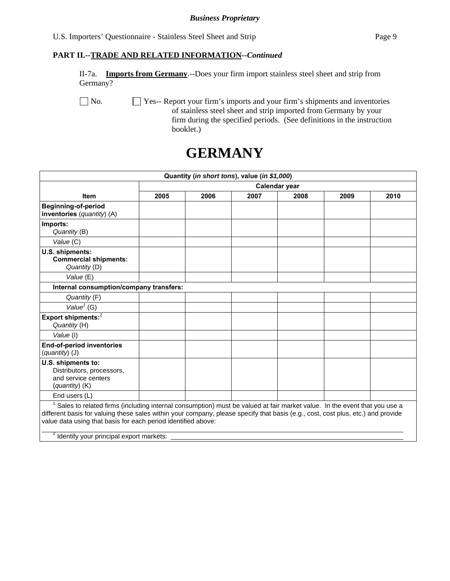# **PART II.--TRADE AND RELATED INFORMATION***--Continued*

II-7a. **Imports from Germany**.--Does your firm import stainless steel sheet and strip from Germany?

No.  $\Box$  Yes-- Report your firm's imports and your firm's shipments and inventories of stainless steel sheet and strip imported from Germany by your firm during the specified periods. (See definitions in the instruction booklet.)

# **GERMANY**

| Quantity (in short tons), value (in \$1,000)                                                                                                                                                                                                                                                                                               |               |      |      |      |      |      |  |
|--------------------------------------------------------------------------------------------------------------------------------------------------------------------------------------------------------------------------------------------------------------------------------------------------------------------------------------------|---------------|------|------|------|------|------|--|
|                                                                                                                                                                                                                                                                                                                                            | Calendar year |      |      |      |      |      |  |
| <b>Item</b>                                                                                                                                                                                                                                                                                                                                | 2005          | 2006 | 2007 | 2008 | 2009 | 2010 |  |
| <b>Beginning-of-period</b><br>inventories (quantity) (A)                                                                                                                                                                                                                                                                                   |               |      |      |      |      |      |  |
| Imports:<br>Quantity (B)                                                                                                                                                                                                                                                                                                                   |               |      |      |      |      |      |  |
| Value (C)                                                                                                                                                                                                                                                                                                                                  |               |      |      |      |      |      |  |
| U.S. shipments:<br><b>Commercial shipments:</b><br>Quantity (D)                                                                                                                                                                                                                                                                            |               |      |      |      |      |      |  |
| Value (E)                                                                                                                                                                                                                                                                                                                                  |               |      |      |      |      |      |  |
| Internal consumption/company transfers:                                                                                                                                                                                                                                                                                                    |               |      |      |      |      |      |  |
| Quantity (F)                                                                                                                                                                                                                                                                                                                               |               |      |      |      |      |      |  |
| Value <sup>1</sup> (G)                                                                                                                                                                                                                                                                                                                     |               |      |      |      |      |      |  |
| Export shipments: <sup>2</sup><br>Quantity (H)                                                                                                                                                                                                                                                                                             |               |      |      |      |      |      |  |
| Value (I)                                                                                                                                                                                                                                                                                                                                  |               |      |      |      |      |      |  |
| <b>End-of-period inventories</b><br>(quantity) (J)                                                                                                                                                                                                                                                                                         |               |      |      |      |      |      |  |
| U.S. shipments to:<br>Distributors, processors,<br>and service centers<br>(quantity) (K)                                                                                                                                                                                                                                                   |               |      |      |      |      |      |  |
| End users (L)                                                                                                                                                                                                                                                                                                                              |               |      |      |      |      |      |  |
| <sup>1</sup> Sales to related firms (including internal consumption) must be valued at fair market value. In the event that you use a<br>different basis for valuing these sales within your company, please specify that basis (e.g., cost, cost plus, etc.) and provide<br>value data using that basis for each period identified above: |               |      |      |      |      |      |  |
| <sup>2</sup> Identify your principal export markets:                                                                                                                                                                                                                                                                                       |               |      |      |      |      |      |  |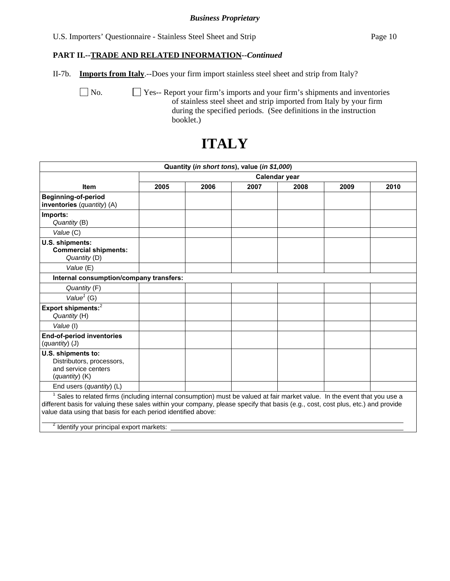U.S. Importers' Questionnaire - Stainless Steel Sheet and Strip Page 10

## **PART II.--TRADE AND RELATED INFORMATION***--Continued*

II-7b. **Imports from Italy**.--Does your firm import stainless steel sheet and strip from Italy?

No.  $\Box$  Yes-- Report your firm's imports and your firm's shipments and inventories of stainless steel sheet and strip imported from Italy by your firm during the specified periods. (See definitions in the instruction booklet.)

|                                                                                                                                                                                                                                                                                                                                                                                       |               | Quantity (in short tons), value (in \$1,000) |      |      |      |      |  |  |
|---------------------------------------------------------------------------------------------------------------------------------------------------------------------------------------------------------------------------------------------------------------------------------------------------------------------------------------------------------------------------------------|---------------|----------------------------------------------|------|------|------|------|--|--|
|                                                                                                                                                                                                                                                                                                                                                                                       | Calendar year |                                              |      |      |      |      |  |  |
| <b>Item</b>                                                                                                                                                                                                                                                                                                                                                                           | 2005          | 2006                                         | 2007 | 2008 | 2009 | 2010 |  |  |
| <b>Beginning-of-period</b><br>inventories (quantity) (A)                                                                                                                                                                                                                                                                                                                              |               |                                              |      |      |      |      |  |  |
| Imports:<br>Quantity (B)                                                                                                                                                                                                                                                                                                                                                              |               |                                              |      |      |      |      |  |  |
| Value (C)                                                                                                                                                                                                                                                                                                                                                                             |               |                                              |      |      |      |      |  |  |
| U.S. shipments:<br><b>Commercial shipments:</b><br>Quantity (D)                                                                                                                                                                                                                                                                                                                       |               |                                              |      |      |      |      |  |  |
| Value (E)                                                                                                                                                                                                                                                                                                                                                                             |               |                                              |      |      |      |      |  |  |
| Internal consumption/company transfers:                                                                                                                                                                                                                                                                                                                                               |               |                                              |      |      |      |      |  |  |
| Quantity (F)                                                                                                                                                                                                                                                                                                                                                                          |               |                                              |      |      |      |      |  |  |
| Value <sup><math>1</math></sup> (G)                                                                                                                                                                                                                                                                                                                                                   |               |                                              |      |      |      |      |  |  |
| Export shipments: <sup>2</sup><br>Quantity (H)                                                                                                                                                                                                                                                                                                                                        |               |                                              |      |      |      |      |  |  |
| Value (I)                                                                                                                                                                                                                                                                                                                                                                             |               |                                              |      |      |      |      |  |  |
| <b>End-of-period inventories</b><br>(quantity) (J)                                                                                                                                                                                                                                                                                                                                    |               |                                              |      |      |      |      |  |  |
| U.S. shipments to:<br>Distributors, processors,<br>and service centers<br>(quantity) (K)                                                                                                                                                                                                                                                                                              |               |                                              |      |      |      |      |  |  |
| End users (quantity) (L)                                                                                                                                                                                                                                                                                                                                                              |               |                                              |      |      |      |      |  |  |
| Sales to related firms (including internal consumption) must be valued at fair market value. In the event that you use a<br>different basis for valuing these sales within your company, please specify that basis (e.g., cost, cost plus, etc.) and provide<br>value data using that basis for each period identified above:<br><sup>2</sup> Identify your principal export markets: |               |                                              |      |      |      |      |  |  |

# **ITALY**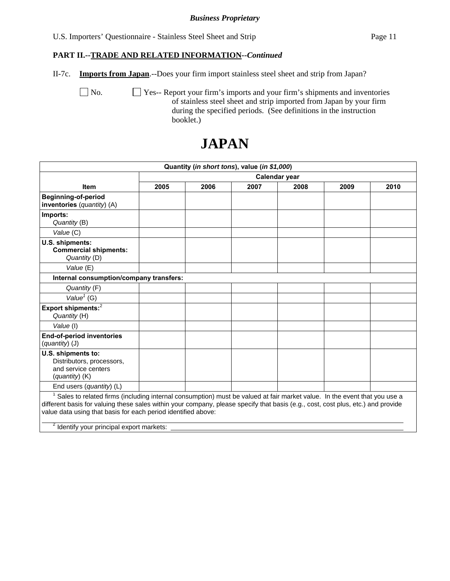U.S. Importers' Questionnaire - Stainless Steel Sheet and Strip Page 11

## **PART II.--TRADE AND RELATED INFORMATION***--Continued*

II-7c. **Imports from Japan**.--Does your firm import stainless steel sheet and strip from Japan?

No.  $\Box$  Yes-- Report your firm's imports and your firm's shipments and inventories of stainless steel sheet and strip imported from Japan by your firm during the specified periods. (See definitions in the instruction booklet.)

|                                                                                                                                                                                                                                                                                                                                                                                                    |               |      | Quantity (in short tons), value (in \$1,000) |      |      |      |  |  |
|----------------------------------------------------------------------------------------------------------------------------------------------------------------------------------------------------------------------------------------------------------------------------------------------------------------------------------------------------------------------------------------------------|---------------|------|----------------------------------------------|------|------|------|--|--|
|                                                                                                                                                                                                                                                                                                                                                                                                    | Calendar year |      |                                              |      |      |      |  |  |
| <b>Item</b>                                                                                                                                                                                                                                                                                                                                                                                        | 2005          | 2006 | 2007                                         | 2008 | 2009 | 2010 |  |  |
| <b>Beginning-of-period</b><br>inventories (quantity) (A)                                                                                                                                                                                                                                                                                                                                           |               |      |                                              |      |      |      |  |  |
| Imports:<br>Quantity (B)                                                                                                                                                                                                                                                                                                                                                                           |               |      |                                              |      |      |      |  |  |
| Value (C)                                                                                                                                                                                                                                                                                                                                                                                          |               |      |                                              |      |      |      |  |  |
| U.S. shipments:<br><b>Commercial shipments:</b><br>Quantity (D)                                                                                                                                                                                                                                                                                                                                    |               |      |                                              |      |      |      |  |  |
| Value (E)                                                                                                                                                                                                                                                                                                                                                                                          |               |      |                                              |      |      |      |  |  |
| Internal consumption/company transfers:                                                                                                                                                                                                                                                                                                                                                            |               |      |                                              |      |      |      |  |  |
| Quantity (F)                                                                                                                                                                                                                                                                                                                                                                                       |               |      |                                              |      |      |      |  |  |
| Value <sup>1</sup> (G)                                                                                                                                                                                                                                                                                                                                                                             |               |      |                                              |      |      |      |  |  |
| Export shipments: <sup>2</sup><br>Quantity (H)                                                                                                                                                                                                                                                                                                                                                     |               |      |                                              |      |      |      |  |  |
| Value (I)                                                                                                                                                                                                                                                                                                                                                                                          |               |      |                                              |      |      |      |  |  |
| <b>End-of-period inventories</b><br>(quantity) (J)                                                                                                                                                                                                                                                                                                                                                 |               |      |                                              |      |      |      |  |  |
| U.S. shipments to:<br>Distributors, processors,<br>and service centers<br>(quantity) (K)                                                                                                                                                                                                                                                                                                           |               |      |                                              |      |      |      |  |  |
| End users ( <i>quantity</i> ) (L)                                                                                                                                                                                                                                                                                                                                                                  |               |      |                                              |      |      |      |  |  |
| <sup>1</sup> Sales to related firms (including internal consumption) must be valued at fair market value. In the event that you use a<br>different basis for valuing these sales within your company, please specify that basis (e.g., cost, cost plus, etc.) and provide<br>value data using that basis for each period identified above:<br><sup>2</sup> Identify your principal export markets: |               |      |                                              |      |      |      |  |  |
|                                                                                                                                                                                                                                                                                                                                                                                                    |               |      |                                              |      |      |      |  |  |

# **JAPAN**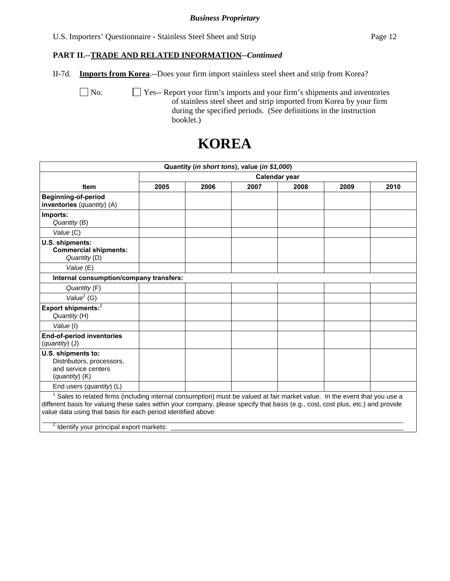U.S. Importers' Questionnaire - Stainless Steel Sheet and Strip Page 12

# **PART II.--TRADE AND RELATED INFORMATION***--Continued*

II-7d. **Imports from Korea**.--Does your firm import stainless steel sheet and strip from Korea?

 No. Yes-- Report your firm's imports and your firm's shipments and inventories of stainless steel sheet and strip imported from Korea by your firm during the specified periods. (See definitions in the instruction booklet.)

|                                                                                                                                                                                                                                                                                                                                                                                           |               |      | Quantity (in short tons), value (in \$1,000) |      |      |      |  |  |
|-------------------------------------------------------------------------------------------------------------------------------------------------------------------------------------------------------------------------------------------------------------------------------------------------------------------------------------------------------------------------------------------|---------------|------|----------------------------------------------|------|------|------|--|--|
|                                                                                                                                                                                                                                                                                                                                                                                           | Calendar year |      |                                              |      |      |      |  |  |
| <b>Item</b>                                                                                                                                                                                                                                                                                                                                                                               | 2005          | 2006 | 2007                                         | 2008 | 2009 | 2010 |  |  |
| <b>Beginning-of-period</b><br>inventories (quantity) (A)                                                                                                                                                                                                                                                                                                                                  |               |      |                                              |      |      |      |  |  |
| Imports:<br>Quantity (B)                                                                                                                                                                                                                                                                                                                                                                  |               |      |                                              |      |      |      |  |  |
| Value (C)                                                                                                                                                                                                                                                                                                                                                                                 |               |      |                                              |      |      |      |  |  |
| U.S. shipments:<br><b>Commercial shipments:</b><br>Quantity (D)                                                                                                                                                                                                                                                                                                                           |               |      |                                              |      |      |      |  |  |
| Value (E)                                                                                                                                                                                                                                                                                                                                                                                 |               |      |                                              |      |      |      |  |  |
| Internal consumption/company transfers:                                                                                                                                                                                                                                                                                                                                                   |               |      |                                              |      |      |      |  |  |
| Quantity (F)                                                                                                                                                                                                                                                                                                                                                                              |               |      |                                              |      |      |      |  |  |
| Value <sup><math>1</math></sup> (G)                                                                                                                                                                                                                                                                                                                                                       |               |      |                                              |      |      |      |  |  |
| Export shipments: <sup>2</sup><br>Quantity (H)                                                                                                                                                                                                                                                                                                                                            |               |      |                                              |      |      |      |  |  |
| Value (I)                                                                                                                                                                                                                                                                                                                                                                                 |               |      |                                              |      |      |      |  |  |
| <b>End-of-period inventories</b><br>(quantity) (J)                                                                                                                                                                                                                                                                                                                                        |               |      |                                              |      |      |      |  |  |
| U.S. shipments to:<br>Distributors, processors,<br>and service centers<br>$(quantity)$ (K)                                                                                                                                                                                                                                                                                                |               |      |                                              |      |      |      |  |  |
| End users ( <i>quantity</i> ) (L)                                                                                                                                                                                                                                                                                                                                                         |               |      |                                              |      |      |      |  |  |
| $1$ Sales to related firms (including internal consumption) must be valued at fair market value. In the event that you use a<br>different basis for valuing these sales within your company, please specify that basis (e.g., cost, cost plus, etc.) and provide<br>value data using that basis for each period identified above:<br><sup>2</sup> Identify your principal export markets: |               |      |                                              |      |      |      |  |  |

# **KOREA**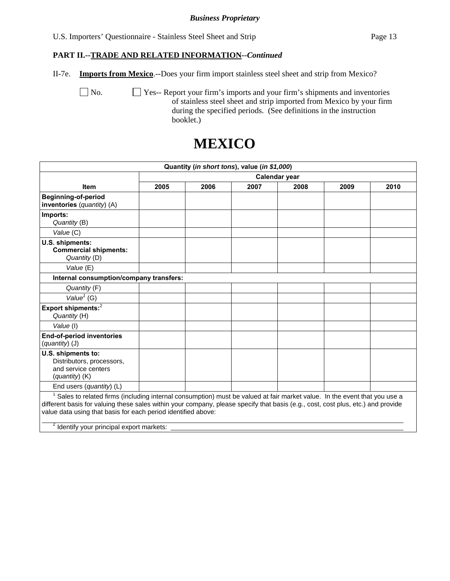U.S. Importers' Questionnaire - Stainless Steel Sheet and Strip Page 13

# **PART II.--TRADE AND RELATED INFORMATION***--Continued*

II-7e. **Imports from Mexico**.--Does your firm import stainless steel sheet and strip from Mexico?

No.  $\Box$  Yes-- Report your firm's imports and your firm's shipments and inventories of stainless steel sheet and strip imported from Mexico by your firm during the specified periods. (See definitions in the instruction booklet.)

# **MEXICO**

|                                                                                                                                                                                                                                                                                                                                                                                                    |               |      | Quantity (in short tons), value (in \$1,000) |      |      |      |  |  |  |
|----------------------------------------------------------------------------------------------------------------------------------------------------------------------------------------------------------------------------------------------------------------------------------------------------------------------------------------------------------------------------------------------------|---------------|------|----------------------------------------------|------|------|------|--|--|--|
|                                                                                                                                                                                                                                                                                                                                                                                                    | Calendar year |      |                                              |      |      |      |  |  |  |
| <b>Item</b>                                                                                                                                                                                                                                                                                                                                                                                        | 2005          | 2006 | 2007                                         | 2008 | 2009 | 2010 |  |  |  |
| <b>Beginning-of-period</b><br>inventories (quantity) (A)                                                                                                                                                                                                                                                                                                                                           |               |      |                                              |      |      |      |  |  |  |
| Imports:<br>Quantity (B)                                                                                                                                                                                                                                                                                                                                                                           |               |      |                                              |      |      |      |  |  |  |
| Value (C)                                                                                                                                                                                                                                                                                                                                                                                          |               |      |                                              |      |      |      |  |  |  |
| U.S. shipments:<br><b>Commercial shipments:</b><br>Quantity (D)                                                                                                                                                                                                                                                                                                                                    |               |      |                                              |      |      |      |  |  |  |
| Value (E)                                                                                                                                                                                                                                                                                                                                                                                          |               |      |                                              |      |      |      |  |  |  |
| Internal consumption/company transfers:                                                                                                                                                                                                                                                                                                                                                            |               |      |                                              |      |      |      |  |  |  |
| Quantity (F)                                                                                                                                                                                                                                                                                                                                                                                       |               |      |                                              |      |      |      |  |  |  |
| Value <sup><math>1</math></sup> (G)                                                                                                                                                                                                                                                                                                                                                                |               |      |                                              |      |      |      |  |  |  |
| Export shipments: <sup>2</sup><br>Quantity (H)                                                                                                                                                                                                                                                                                                                                                     |               |      |                                              |      |      |      |  |  |  |
| Value (I)                                                                                                                                                                                                                                                                                                                                                                                          |               |      |                                              |      |      |      |  |  |  |
| <b>End-of-period inventories</b><br>(quantity) (J)                                                                                                                                                                                                                                                                                                                                                 |               |      |                                              |      |      |      |  |  |  |
| U.S. shipments to:<br>Distributors, processors,<br>and service centers<br>(quantity) (K)                                                                                                                                                                                                                                                                                                           |               |      |                                              |      |      |      |  |  |  |
| End users $(quantity)$ (L)                                                                                                                                                                                                                                                                                                                                                                         |               |      |                                              |      |      |      |  |  |  |
| <sup>1</sup> Sales to related firms (including internal consumption) must be valued at fair market value. In the event that you use a<br>different basis for valuing these sales within your company, please specify that basis (e.g., cost, cost plus, etc.) and provide<br>value data using that basis for each period identified above:<br><sup>2</sup> Identify your principal export markets: |               |      |                                              |      |      |      |  |  |  |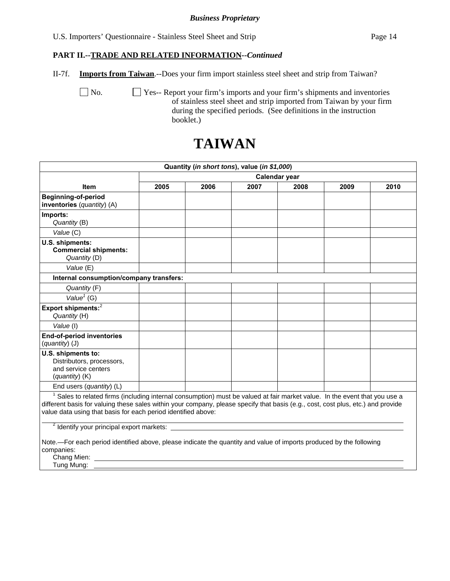U.S. Importers' Questionnaire - Stainless Steel Sheet and Strip Page 14

## **PART II.--TRADE AND RELATED INFORMATION***--Continued*

II-7f. **Imports from Taiwan**.--Does your firm import stainless steel sheet and strip from Taiwan?

No.  $\Box$  Yes-- Report your firm's imports and your firm's shipments and inventories of stainless steel sheet and strip imported from Taiwan by your firm during the specified periods. (See definitions in the instruction booklet.)

# **TAIWAN**

|                                                                                                                                                                                                                                                                                                                               |               | Quantity (in short tons), value (in \$1,000) |      |      |      |      |  |  |
|-------------------------------------------------------------------------------------------------------------------------------------------------------------------------------------------------------------------------------------------------------------------------------------------------------------------------------|---------------|----------------------------------------------|------|------|------|------|--|--|
|                                                                                                                                                                                                                                                                                                                               | Calendar year |                                              |      |      |      |      |  |  |
| <b>Item</b>                                                                                                                                                                                                                                                                                                                   | 2005          | 2006                                         | 2007 | 2008 | 2009 | 2010 |  |  |
| <b>Beginning-of-period</b><br>inventories (quantity) (A)                                                                                                                                                                                                                                                                      |               |                                              |      |      |      |      |  |  |
| Imports:<br>Quantity (B)                                                                                                                                                                                                                                                                                                      |               |                                              |      |      |      |      |  |  |
| Value (C)                                                                                                                                                                                                                                                                                                                     |               |                                              |      |      |      |      |  |  |
| U.S. shipments:<br><b>Commercial shipments:</b><br>Quantity (D)                                                                                                                                                                                                                                                               |               |                                              |      |      |      |      |  |  |
| Value (E)                                                                                                                                                                                                                                                                                                                     |               |                                              |      |      |      |      |  |  |
| Internal consumption/company transfers:                                                                                                                                                                                                                                                                                       |               |                                              |      |      |      |      |  |  |
| Quantity (F)                                                                                                                                                                                                                                                                                                                  |               |                                              |      |      |      |      |  |  |
| Value <sup><math>1</math></sup> (G)                                                                                                                                                                                                                                                                                           |               |                                              |      |      |      |      |  |  |
| Export shipments: $2$<br>Quantity (H)                                                                                                                                                                                                                                                                                         |               |                                              |      |      |      |      |  |  |
| Value (I)                                                                                                                                                                                                                                                                                                                     |               |                                              |      |      |      |      |  |  |
| <b>End-of-period inventories</b><br>(quantity) (J)                                                                                                                                                                                                                                                                            |               |                                              |      |      |      |      |  |  |
| U.S. shipments to:<br>Distributors, processors,<br>and service centers<br>$(quantity)$ (K)                                                                                                                                                                                                                                    |               |                                              |      |      |      |      |  |  |
| End users (quantity) (L)                                                                                                                                                                                                                                                                                                      |               |                                              |      |      |      |      |  |  |
| Sales to related firms (including internal consumption) must be valued at fair market value. In the event that you use a<br>different basis for valuing these sales within your company, please specify that basis (e.g., cost, cost plus, etc.) and provide<br>value data using that basis for each period identified above: |               |                                              |      |      |      |      |  |  |
| <sup>2</sup> Identify your principal export markets:<br>Note.—For each period identified above, please indicate the quantity and value of imports produced by the following<br>companies:                                                                                                                                     |               |                                              |      |      |      |      |  |  |

Chang Mien:

Tung Mung: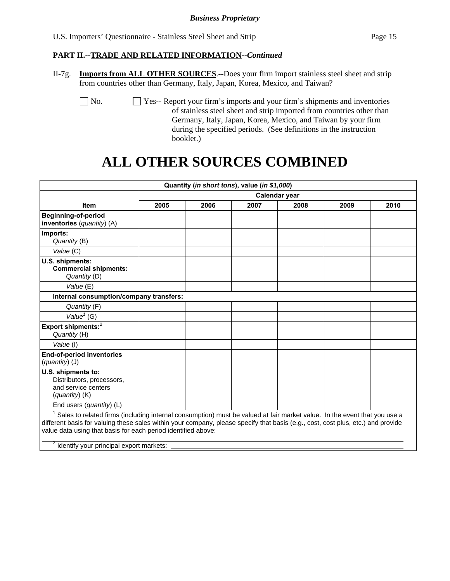# **PART II.--TRADE AND RELATED INFORMATION***--Continued*

II-7g. **Imports from ALL OTHER SOURCES**.--Does your firm import stainless steel sheet and strip from countries other than Germany, Italy, Japan, Korea, Mexico, and Taiwan?

 No. Yes-- Report your firm's imports and your firm's shipments and inventories of stainless steel sheet and strip imported from countries other than Germany, Italy, Japan, Korea, Mexico, and Taiwan by your firm during the specified periods. (See definitions in the instruction booklet.)

# **ALL OTHER SOURCES COMBINED**

|                                                                                                                                                                                                                                                                                                                                                                          |               |      | Quantity (in short tons), value (in \$1,000) |      |      |      |  |  |
|--------------------------------------------------------------------------------------------------------------------------------------------------------------------------------------------------------------------------------------------------------------------------------------------------------------------------------------------------------------------------|---------------|------|----------------------------------------------|------|------|------|--|--|
|                                                                                                                                                                                                                                                                                                                                                                          | Calendar year |      |                                              |      |      |      |  |  |
| <b>Item</b>                                                                                                                                                                                                                                                                                                                                                              | 2005          | 2006 | 2007                                         | 2008 | 2009 | 2010 |  |  |
| <b>Beginning-of-period</b><br>inventories (quantity) (A)                                                                                                                                                                                                                                                                                                                 |               |      |                                              |      |      |      |  |  |
| Imports:<br>Quantity (B)                                                                                                                                                                                                                                                                                                                                                 |               |      |                                              |      |      |      |  |  |
| Value (C)                                                                                                                                                                                                                                                                                                                                                                |               |      |                                              |      |      |      |  |  |
| U.S. shipments:<br><b>Commercial shipments:</b><br>Quantity (D)                                                                                                                                                                                                                                                                                                          |               |      |                                              |      |      |      |  |  |
| Value (E)                                                                                                                                                                                                                                                                                                                                                                |               |      |                                              |      |      |      |  |  |
| Internal consumption/company transfers:                                                                                                                                                                                                                                                                                                                                  |               |      |                                              |      |      |      |  |  |
| Quantity (F)                                                                                                                                                                                                                                                                                                                                                             |               |      |                                              |      |      |      |  |  |
| Value $1$ (G)                                                                                                                                                                                                                                                                                                                                                            |               |      |                                              |      |      |      |  |  |
| Export shipments: <sup>2</sup><br>Quantity (H)                                                                                                                                                                                                                                                                                                                           |               |      |                                              |      |      |      |  |  |
| Value (I)                                                                                                                                                                                                                                                                                                                                                                |               |      |                                              |      |      |      |  |  |
| <b>End-of-period inventories</b><br>(quantity) (J)                                                                                                                                                                                                                                                                                                                       |               |      |                                              |      |      |      |  |  |
| U.S. shipments to:<br>Distributors, processors,<br>and service centers<br>$(quantity)$ (K)                                                                                                                                                                                                                                                                               |               |      |                                              |      |      |      |  |  |
| End users (quantity) (L)                                                                                                                                                                                                                                                                                                                                                 |               |      |                                              |      |      |      |  |  |
| Sales to related firms (including internal consumption) must be valued at fair market value. In the event that you use a<br>different basis for valuing these sales within your company, please specify that basis (e.g., cost, cost plus, etc.) and provide<br>value data using that basis for each period identified above:<br>$\frac{2}{100}$ principal over marketer |               |      |                                              |      |      |      |  |  |

Identify your principal export markets: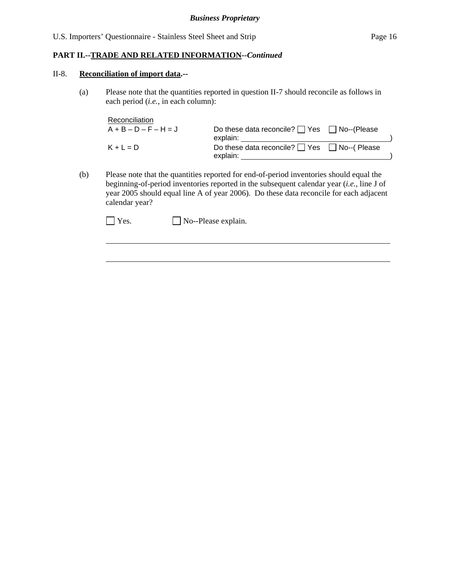# **PART II.--TRADE AND RELATED INFORMATION***--Continued*

#### II-8. **Reconciliation of import data.--**

l

(a) Please note that the quantities reported in question II-7 should reconcile as follows in each period (*i.e.*, in each column):

| Reconciliation          |                                                        |  |
|-------------------------|--------------------------------------------------------|--|
| $A + B - D - F - H = J$ | Do these data reconcile? $\Box$ Yes $\Box$ No--(Please |  |
|                         | explain:                                               |  |
| $K + L = D$             | Do these data reconcile? $\Box$ Yes $\Box$ No--(Please |  |
|                         | explain:                                               |  |

(b) Please note that the quantities reported for end-of-period inventories should equal the beginning-of-period inventories reported in the subsequent calendar year (*i.e.*, line J of year 2005 should equal line A of year 2006). Do these data reconcile for each adjacent calendar year?

 $\Box$  Yes.  $\Box$  No--Please explain.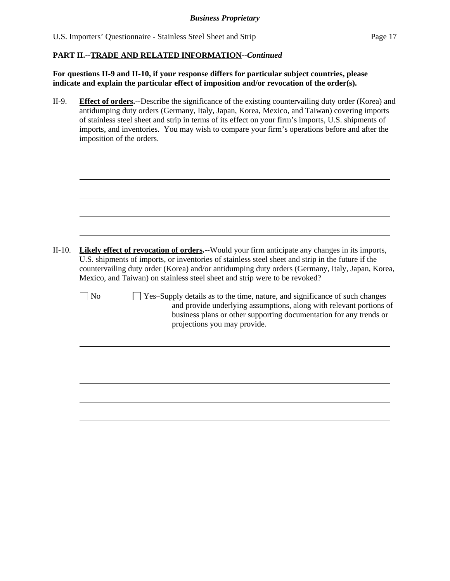$\overline{a}$ 

# **PART II.--TRADE AND RELATED INFORMATION***--Continued*

**For questions II-9 and II-10, if your response differs for particular subject countries, please indicate and explain the particular effect of imposition and/or revocation of the order(s).**

II-9. **Effect of orders.--**Describe the significance of the existing countervailing duty order (Korea) and antidumping duty orders (Germany, Italy, Japan, Korea, Mexico, and Taiwan) covering imports of stainless steel sheet and strip in terms of its effect on your firm's imports, U.S. shipments of imports, and inventories. You may wish to compare your firm's operations before and after the imposition of the orders.

| $II-10.$ | <b>Likely effect of revocation of orders.</b> --Would your firm anticipate any changes in its imports,<br>U.S. shipments of imports, or inventories of stainless steel sheet and strip in the future if the<br>countervailing duty order (Korea) and/or antidumping duty orders (Germany, Italy, Japan, Korea,<br>Mexico, and Taiwan) on stainless steel sheet and strip were to be revoked? |
|----------|----------------------------------------------------------------------------------------------------------------------------------------------------------------------------------------------------------------------------------------------------------------------------------------------------------------------------------------------------------------------------------------------|
|          | <b>No</b><br>Yes-Supply details as to the time, nature, and significance of such changes<br>and provide underlying assumptions, along with relevant portions of<br>business plans or other supporting documentation for any trends or<br>projections you may provide.                                                                                                                        |
|          |                                                                                                                                                                                                                                                                                                                                                                                              |
|          |                                                                                                                                                                                                                                                                                                                                                                                              |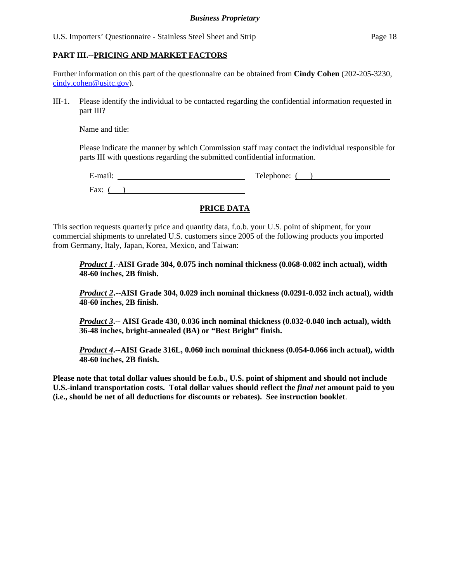U.S. Importers' Questionnaire - Stainless Steel Sheet and Strip Page 18

# **PART III.--PRICING AND MARKET FACTORS**

Further information on this part of the questionnaire can be obtained from **Cindy Cohen** (202-205-3230, cindy.cohen@usitc.gov).

III-1. Please identify the individual to be contacted regarding the confidential information requested in part III?

Name and title:

Please indicate the manner by which Commission staff may contact the individual responsible for parts III with questions regarding the submitted confidential information.

| $\cdot$ $\cdot$<br>±-mail∶ | Telephone: |
|----------------------------|------------|
| Fax:                       |            |

# **PRICE DATA**

This section requests quarterly price and quantity data, f.o.b. your U.S. point of shipment, for your commercial shipments to unrelated U.S. customers since 2005 of the following products you imported from Germany, Italy, Japan, Korea, Mexico, and Taiwan:

*Product 1***.-AISI Grade 304, 0.075 inch nominal thickness (0.068-0.082 inch actual), width 48-60 inches, 2B finish.** 

*Product 2***.--AISI Grade 304, 0.029 inch nominal thickness (0.0291-0.032 inch actual), width 48-60 inches, 2B finish.** 

*Product 3***.-- AISI Grade 430, 0.036 inch nominal thickness (0.032-0.040 inch actual), width 36-48 inches, bright-annealed (BA) or "Best Bright" finish.** 

*Product 4***.--AISI Grade 316L, 0.060 inch nominal thickness (0.054-0.066 inch actual), width 48-60 inches, 2B finish.** 

**Please note that total dollar values should be f.o.b., U.S. point of shipment and should not include U.S.-inland transportation costs. Total dollar values should reflect the** *final net* **amount paid to you (i.e., should be net of all deductions for discounts or rebates). See instruction booklet**.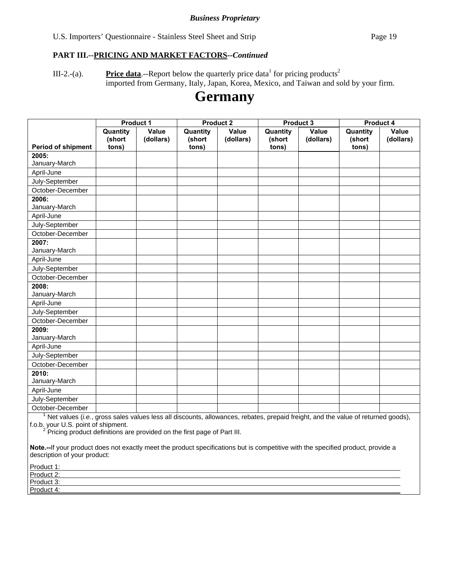U.S. Importers' Questionnaire - Stainless Steel Sheet and Strip Page 19

## **PART III.--PRICING AND MARKET FACTORS***--Continued*

III-2.-(a). **Price data**.--Report below the quarterly price data<sup>1</sup> for pricing products<sup>2</sup> imported from Germany, Italy, Japan, Korea, Mexico, and Taiwan and sold by your firm.

# **Germany**

|                                                                                                                                  | Product 1                   |                           | <b>Product 2</b>            |                           |                             | Product 3          | <b>Product 4</b>            |                           |
|----------------------------------------------------------------------------------------------------------------------------------|-----------------------------|---------------------------|-----------------------------|---------------------------|-----------------------------|--------------------|-----------------------------|---------------------------|
| Period of shipment                                                                                                               | Quantity<br>(short<br>tons) | <b>Value</b><br>(dollars) | Quantity<br>(short<br>tons) | <b>Value</b><br>(dollars) | Quantity<br>(short<br>tons) | Value<br>(dollars) | Quantity<br>(short<br>tons) | <b>Value</b><br>(dollars) |
| 2005:                                                                                                                            |                             |                           |                             |                           |                             |                    |                             |                           |
| January-March                                                                                                                    |                             |                           |                             |                           |                             |                    |                             |                           |
| April-June                                                                                                                       |                             |                           |                             |                           |                             |                    |                             |                           |
| July-September                                                                                                                   |                             |                           |                             |                           |                             |                    |                             |                           |
| October-December                                                                                                                 |                             |                           |                             |                           |                             |                    |                             |                           |
| 2006:                                                                                                                            |                             |                           |                             |                           |                             |                    |                             |                           |
| January-March                                                                                                                    |                             |                           |                             |                           |                             |                    |                             |                           |
| April-June                                                                                                                       |                             |                           |                             |                           |                             |                    |                             |                           |
| July-September                                                                                                                   |                             |                           |                             |                           |                             |                    |                             |                           |
| October-December                                                                                                                 |                             |                           |                             |                           |                             |                    |                             |                           |
| 2007:                                                                                                                            |                             |                           |                             |                           |                             |                    |                             |                           |
| January-March                                                                                                                    |                             |                           |                             |                           |                             |                    |                             |                           |
| April-June                                                                                                                       |                             |                           |                             |                           |                             |                    |                             |                           |
| July-September                                                                                                                   |                             |                           |                             |                           |                             |                    |                             |                           |
| October-December                                                                                                                 |                             |                           |                             |                           |                             |                    |                             |                           |
| 2008:                                                                                                                            |                             |                           |                             |                           |                             |                    |                             |                           |
| January-March                                                                                                                    |                             |                           |                             |                           |                             |                    |                             |                           |
| April-June                                                                                                                       |                             |                           |                             |                           |                             |                    |                             |                           |
| July-September                                                                                                                   |                             |                           |                             |                           |                             |                    |                             |                           |
| October-December                                                                                                                 |                             |                           |                             |                           |                             |                    |                             |                           |
| 2009:                                                                                                                            |                             |                           |                             |                           |                             |                    |                             |                           |
| January-March                                                                                                                    |                             |                           |                             |                           |                             |                    |                             |                           |
| April-June                                                                                                                       |                             |                           |                             |                           |                             |                    |                             |                           |
| July-September                                                                                                                   |                             |                           |                             |                           |                             |                    |                             |                           |
| October-December                                                                                                                 |                             |                           |                             |                           |                             |                    |                             |                           |
| 2010:                                                                                                                            |                             |                           |                             |                           |                             |                    |                             |                           |
| January-March                                                                                                                    |                             |                           |                             |                           |                             |                    |                             |                           |
| April-June                                                                                                                       |                             |                           |                             |                           |                             |                    |                             |                           |
| July-September                                                                                                                   |                             |                           |                             |                           |                             |                    |                             |                           |
| October-December                                                                                                                 |                             |                           |                             |                           |                             |                    |                             |                           |
| Net values (i.e., gross sales values less all discounts, allowances, rebates, prepaid freight, and the value of returned goods), |                             |                           |                             |                           |                             |                    |                             |                           |

f.o.b. your U.S. point of shipment.<br><sup>2</sup> Pricing product definitions are provided on the first page of Part III.

| Product 1: |  |
|------------|--|
| Product 2: |  |
| Product 3: |  |
| Product 4: |  |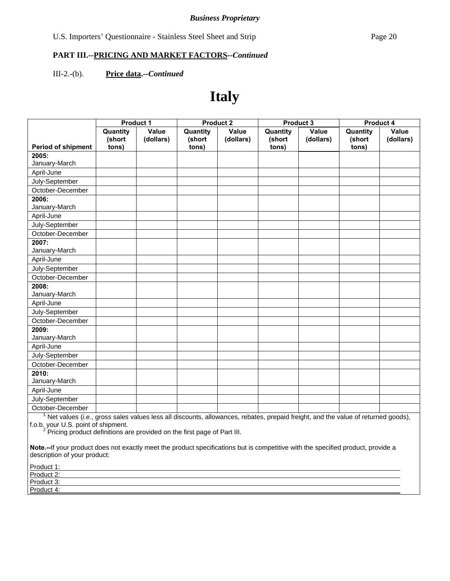## III-2.-(b). **Price data.--***Continued*

# **Italy**

|                                                                                                                                  | Product 1          |                    | <b>Product 2</b>   |                           |                    | Product 3          | <b>Product 4</b>   |                           |
|----------------------------------------------------------------------------------------------------------------------------------|--------------------|--------------------|--------------------|---------------------------|--------------------|--------------------|--------------------|---------------------------|
|                                                                                                                                  | Quantity<br>(short | Value<br>(dollars) | Quantity<br>(short | <b>Value</b><br>(dollars) | Quantity<br>(short | Value<br>(dollars) | Quantity<br>(short | <b>Value</b><br>(dollars) |
| Period of shipment                                                                                                               | tons)              |                    | tons)              |                           | tons)              |                    | tons)              |                           |
| 2005:                                                                                                                            |                    |                    |                    |                           |                    |                    |                    |                           |
| January-March                                                                                                                    |                    |                    |                    |                           |                    |                    |                    |                           |
| April-June                                                                                                                       |                    |                    |                    |                           |                    |                    |                    |                           |
| July-September                                                                                                                   |                    |                    |                    |                           |                    |                    |                    |                           |
| October-December                                                                                                                 |                    |                    |                    |                           |                    |                    |                    |                           |
| 2006:                                                                                                                            |                    |                    |                    |                           |                    |                    |                    |                           |
| January-March                                                                                                                    |                    |                    |                    |                           |                    |                    |                    |                           |
| April-June                                                                                                                       |                    |                    |                    |                           |                    |                    |                    |                           |
| July-September                                                                                                                   |                    |                    |                    |                           |                    |                    |                    |                           |
| October-December                                                                                                                 |                    |                    |                    |                           |                    |                    |                    |                           |
| 2007:                                                                                                                            |                    |                    |                    |                           |                    |                    |                    |                           |
| January-March                                                                                                                    |                    |                    |                    |                           |                    |                    |                    |                           |
| April-June                                                                                                                       |                    |                    |                    |                           |                    |                    |                    |                           |
| July-September                                                                                                                   |                    |                    |                    |                           |                    |                    |                    |                           |
| October-December                                                                                                                 |                    |                    |                    |                           |                    |                    |                    |                           |
| 2008:                                                                                                                            |                    |                    |                    |                           |                    |                    |                    |                           |
| January-March                                                                                                                    |                    |                    |                    |                           |                    |                    |                    |                           |
| April-June                                                                                                                       |                    |                    |                    |                           |                    |                    |                    |                           |
| July-September                                                                                                                   |                    |                    |                    |                           |                    |                    |                    |                           |
| October-December                                                                                                                 |                    |                    |                    |                           |                    |                    |                    |                           |
| 2009:                                                                                                                            |                    |                    |                    |                           |                    |                    |                    |                           |
| January-March                                                                                                                    |                    |                    |                    |                           |                    |                    |                    |                           |
| April-June                                                                                                                       |                    |                    |                    |                           |                    |                    |                    |                           |
| July-September                                                                                                                   |                    |                    |                    |                           |                    |                    |                    |                           |
| October-December                                                                                                                 |                    |                    |                    |                           |                    |                    |                    |                           |
| 2010:                                                                                                                            |                    |                    |                    |                           |                    |                    |                    |                           |
| January-March                                                                                                                    |                    |                    |                    |                           |                    |                    |                    |                           |
| April-June                                                                                                                       |                    |                    |                    |                           |                    |                    |                    |                           |
| July-September                                                                                                                   |                    |                    |                    |                           |                    |                    |                    |                           |
| October-December                                                                                                                 |                    |                    |                    |                           |                    |                    |                    |                           |
| Net values (i.e., gross sales values less all discounts, allowances, rebates, prepaid freight, and the value of returned goods), |                    |                    |                    |                           |                    |                    |                    |                           |

f.o.b. your U.S. point of shipment.<br><sup>2</sup> Pricing product definitions are provided on the first page of Part III.

| Product 1: |  |
|------------|--|
| Product 2: |  |
| Product 3: |  |
| Product 4: |  |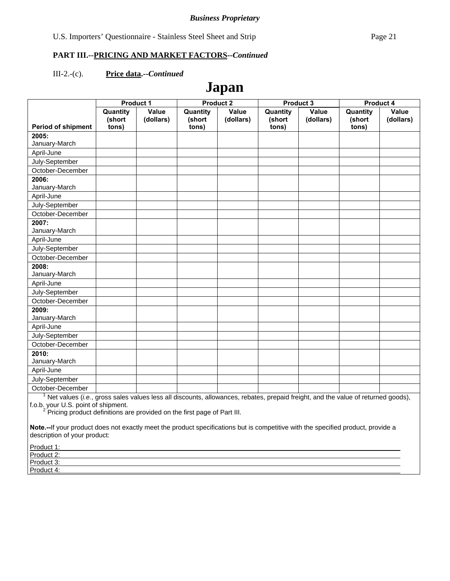#### III-2.-(c). **Price data.--***Continued*

# **Japan**

|                           | Product 1                   |                    | <b>Product 2</b>            |                    | <b>Product 3</b>            |                    | <b>Product 4</b>            |                    |
|---------------------------|-----------------------------|--------------------|-----------------------------|--------------------|-----------------------------|--------------------|-----------------------------|--------------------|
|                           | Quantity<br>(short<br>tons) | Value<br>(dollars) | Quantity<br>(short<br>tons) | Value<br>(dollars) | Quantity<br>(short<br>tons) | Value<br>(dollars) | Quantity<br>(short<br>tons) | Value<br>(dollars) |
| <b>Period of shipment</b> |                             |                    |                             |                    |                             |                    |                             |                    |
| 2005:<br>January-March    |                             |                    |                             |                    |                             |                    |                             |                    |
| April-June                |                             |                    |                             |                    |                             |                    |                             |                    |
|                           |                             |                    |                             |                    |                             |                    |                             |                    |
| July-September            |                             |                    |                             |                    |                             |                    |                             |                    |
| October-December          |                             |                    |                             |                    |                             |                    |                             |                    |
| 2006:                     |                             |                    |                             |                    |                             |                    |                             |                    |
| January-March             |                             |                    |                             |                    |                             |                    |                             |                    |
| April-June                |                             |                    |                             |                    |                             |                    |                             |                    |
| July-September            |                             |                    |                             |                    |                             |                    |                             |                    |
| October-December          |                             |                    |                             |                    |                             |                    |                             |                    |
| 2007:                     |                             |                    |                             |                    |                             |                    |                             |                    |
| January-March             |                             |                    |                             |                    |                             |                    |                             |                    |
| April-June                |                             |                    |                             |                    |                             |                    |                             |                    |
| July-September            |                             |                    |                             |                    |                             |                    |                             |                    |
| October-December          |                             |                    |                             |                    |                             |                    |                             |                    |
| 2008:                     |                             |                    |                             |                    |                             |                    |                             |                    |
| January-March             |                             |                    |                             |                    |                             |                    |                             |                    |
| April-June                |                             |                    |                             |                    |                             |                    |                             |                    |
| July-September            |                             |                    |                             |                    |                             |                    |                             |                    |
| October-December          |                             |                    |                             |                    |                             |                    |                             |                    |
| 2009:                     |                             |                    |                             |                    |                             |                    |                             |                    |
| January-March             |                             |                    |                             |                    |                             |                    |                             |                    |
| April-June                |                             |                    |                             |                    |                             |                    |                             |                    |
| July-September            |                             |                    |                             |                    |                             |                    |                             |                    |
| October-December          |                             |                    |                             |                    |                             |                    |                             |                    |
| 2010:                     |                             |                    |                             |                    |                             |                    |                             |                    |
| January-March             |                             |                    |                             |                    |                             |                    |                             |                    |
| April-June                |                             |                    |                             |                    |                             |                    |                             |                    |
| July-September            |                             |                    |                             |                    |                             |                    |                             |                    |
| October-December          |                             |                    |                             |                    |                             |                    |                             |                    |

October-December 1 Net values (*i.e.*, gross sales values less all discounts, allowances, rebates, prepaid freight, and the value of returned goods),

f.o.b. your U.S. point of shipment.<br><sup>2</sup> Pricing product definitions are provided on the first page of Part III.

| Product 1:                 |  |  |
|----------------------------|--|--|
| Product 2:                 |  |  |
| Product 3:<br><b>TOUUL</b> |  |  |
| Product 4:                 |  |  |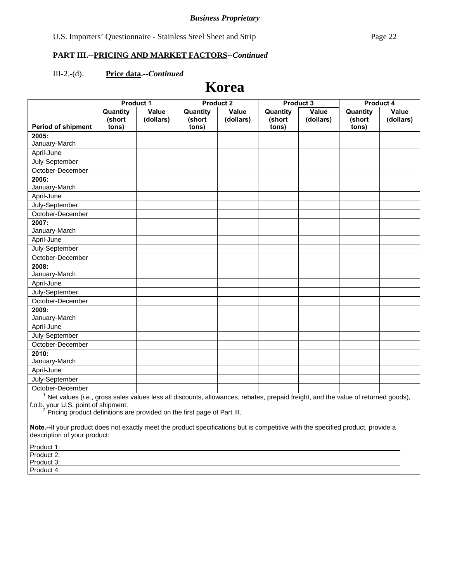#### III-2.-(d). **Price data.--***Continued*

# **Korea**

|                           | <b>Product 1</b>            |                    | <b>Product 2</b>            |                    | <b>Product 3</b>            |                    | <b>Product 4</b>            |                    |
|---------------------------|-----------------------------|--------------------|-----------------------------|--------------------|-----------------------------|--------------------|-----------------------------|--------------------|
| <b>Period of shipment</b> | Quantity<br>(short<br>tons) | Value<br>(dollars) | Quantity<br>(short<br>tons) | Value<br>(dollars) | Quantity<br>(short<br>tons) | Value<br>(dollars) | Quantity<br>(short<br>tons) | Value<br>(dollars) |
| 2005:                     |                             |                    |                             |                    |                             |                    |                             |                    |
| January-March             |                             |                    |                             |                    |                             |                    |                             |                    |
| April-June                |                             |                    |                             |                    |                             |                    |                             |                    |
| July-September            |                             |                    |                             |                    |                             |                    |                             |                    |
| October-December          |                             |                    |                             |                    |                             |                    |                             |                    |
| 2006:                     |                             |                    |                             |                    |                             |                    |                             |                    |
| January-March             |                             |                    |                             |                    |                             |                    |                             |                    |
| April-June                |                             |                    |                             |                    |                             |                    |                             |                    |
| July-September            |                             |                    |                             |                    |                             |                    |                             |                    |
| October-December          |                             |                    |                             |                    |                             |                    |                             |                    |
| 2007:                     |                             |                    |                             |                    |                             |                    |                             |                    |
| January-March             |                             |                    |                             |                    |                             |                    |                             |                    |
| April-June                |                             |                    |                             |                    |                             |                    |                             |                    |
| July-September            |                             |                    |                             |                    |                             |                    |                             |                    |
| October-December          |                             |                    |                             |                    |                             |                    |                             |                    |
| 2008:                     |                             |                    |                             |                    |                             |                    |                             |                    |
| January-March             |                             |                    |                             |                    |                             |                    |                             |                    |
| April-June                |                             |                    |                             |                    |                             |                    |                             |                    |
| July-September            |                             |                    |                             |                    |                             |                    |                             |                    |
| October-December          |                             |                    |                             |                    |                             |                    |                             |                    |
| 2009:                     |                             |                    |                             |                    |                             |                    |                             |                    |
| January-March             |                             |                    |                             |                    |                             |                    |                             |                    |
| April-June                |                             |                    |                             |                    |                             |                    |                             |                    |
| July-September            |                             |                    |                             |                    |                             |                    |                             |                    |
| October-December          |                             |                    |                             |                    |                             |                    |                             |                    |
| 2010:                     |                             |                    |                             |                    |                             |                    |                             |                    |
| January-March             |                             |                    |                             |                    |                             |                    |                             |                    |
| April-June                |                             |                    |                             |                    |                             |                    |                             |                    |
| July-September            |                             |                    |                             |                    |                             |                    |                             |                    |
| October-December          |                             |                    |                             |                    |                             |                    |                             |                    |

October-December 1 Net values (*i.e.*, gross sales values less all discounts, allowances, rebates, prepaid freight, and the value of returned goods),

f.o.b. your U.S. point of shipment.<br><sup>2</sup> Pricing product definitions are provided on the first page of Part III.

| Product 1: |  |  |
|------------|--|--|
| Product 2: |  |  |
| Product 3: |  |  |
| Product 4: |  |  |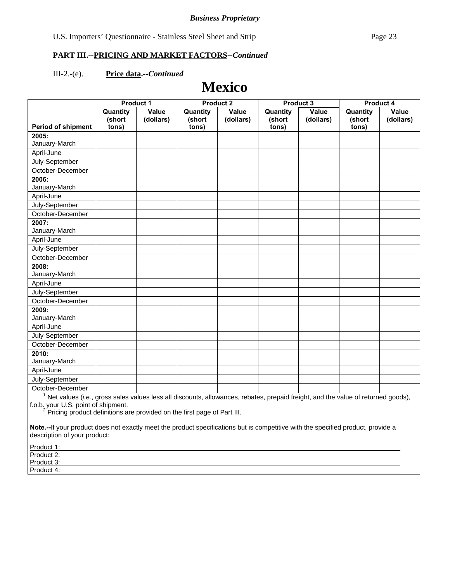#### III-2.-(e). **Price data.--***Continued*

# **Mexico**

|                           | <b>Product 1</b>   |                    | <b>Product 2</b>   |                    | <b>Product 3</b>   |                           | <b>Product 4</b>   |                    |
|---------------------------|--------------------|--------------------|--------------------|--------------------|--------------------|---------------------------|--------------------|--------------------|
|                           | Quantity<br>(short | Value<br>(dollars) | Quantity<br>(short | Value<br>(dollars) | Quantity<br>(short | <b>Value</b><br>(dollars) | Quantity<br>(short | Value<br>(dollars) |
| <b>Period of shipment</b> | tons)              |                    | tons)              |                    | tons)              |                           | tons)              |                    |
| 2005:<br>January-March    |                    |                    |                    |                    |                    |                           |                    |                    |
| April-June                |                    |                    |                    |                    |                    |                           |                    |                    |
| July-September            |                    |                    |                    |                    |                    |                           |                    |                    |
| October-December          |                    |                    |                    |                    |                    |                           |                    |                    |
| 2006:                     |                    |                    |                    |                    |                    |                           |                    |                    |
| January-March             |                    |                    |                    |                    |                    |                           |                    |                    |
| April-June                |                    |                    |                    |                    |                    |                           |                    |                    |
| July-September            |                    |                    |                    |                    |                    |                           |                    |                    |
| October-December          |                    |                    |                    |                    |                    |                           |                    |                    |
| 2007:                     |                    |                    |                    |                    |                    |                           |                    |                    |
| January-March             |                    |                    |                    |                    |                    |                           |                    |                    |
| April-June                |                    |                    |                    |                    |                    |                           |                    |                    |
| July-September            |                    |                    |                    |                    |                    |                           |                    |                    |
| October-December          |                    |                    |                    |                    |                    |                           |                    |                    |
| 2008:                     |                    |                    |                    |                    |                    |                           |                    |                    |
| January-March             |                    |                    |                    |                    |                    |                           |                    |                    |
| April-June                |                    |                    |                    |                    |                    |                           |                    |                    |
| July-September            |                    |                    |                    |                    |                    |                           |                    |                    |
| October-December          |                    |                    |                    |                    |                    |                           |                    |                    |
| 2009:                     |                    |                    |                    |                    |                    |                           |                    |                    |
| January-March             |                    |                    |                    |                    |                    |                           |                    |                    |
| April-June                |                    |                    |                    |                    |                    |                           |                    |                    |
| July-September            |                    |                    |                    |                    |                    |                           |                    |                    |
| October-December          |                    |                    |                    |                    |                    |                           |                    |                    |
| 2010:                     |                    |                    |                    |                    |                    |                           |                    |                    |
| January-March             |                    |                    |                    |                    |                    |                           |                    |                    |
| April-June                |                    |                    |                    |                    |                    |                           |                    |                    |
| July-September            |                    |                    |                    |                    |                    |                           |                    |                    |
| October-December          |                    |                    |                    |                    |                    |                           |                    |                    |

October-December 1 Net values (*i.e.*, gross sales values less all discounts, allowances, rebates, prepaid freight, and the value of returned goods),

f.o.b. your U.S. point of shipment.<br><sup>2</sup> Pricing product definitions are provided on the first page of Part III.

| Product 1:                 |  |  |
|----------------------------|--|--|
| Product 2:                 |  |  |
| Product 3:<br><b>TOUUL</b> |  |  |
| Product 4:                 |  |  |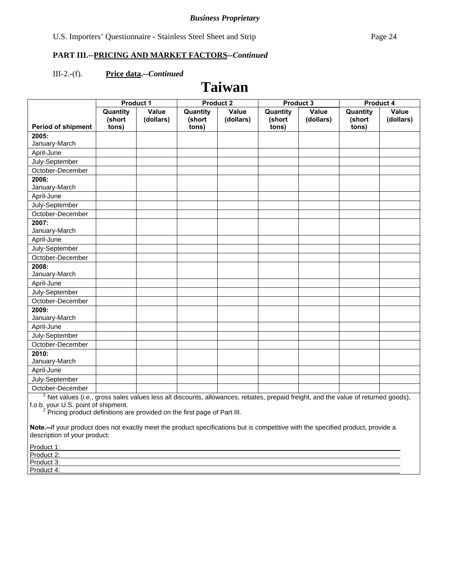#### III-2.-(f). **Price data.--***Continued*

# **Taiwan**

|                           | <b>Product 1</b>   |                    | <b>Product 2</b>   |                    | Product 3          |                    | <b>Product 4</b>   |                    |
|---------------------------|--------------------|--------------------|--------------------|--------------------|--------------------|--------------------|--------------------|--------------------|
|                           | Quantity<br>(short | Value<br>(dollars) | Quantity<br>(short | Value<br>(dollars) | Quantity<br>(short | Value<br>(dollars) | Quantity<br>(short | Value<br>(dollars) |
| <b>Period of shipment</b> | tons)              |                    | tons)              |                    | tons)              |                    | tons)              |                    |
| 2005:                     |                    |                    |                    |                    |                    |                    |                    |                    |
| January-March             |                    |                    |                    |                    |                    |                    |                    |                    |
| April-June                |                    |                    |                    |                    |                    |                    |                    |                    |
| July-September            |                    |                    |                    |                    |                    |                    |                    |                    |
| October-December          |                    |                    |                    |                    |                    |                    |                    |                    |
| 2006:                     |                    |                    |                    |                    |                    |                    |                    |                    |
| January-March             |                    |                    |                    |                    |                    |                    |                    |                    |
| April-June                |                    |                    |                    |                    |                    |                    |                    |                    |
| July-September            |                    |                    |                    |                    |                    |                    |                    |                    |
| October-December          |                    |                    |                    |                    |                    |                    |                    |                    |
| 2007:                     |                    |                    |                    |                    |                    |                    |                    |                    |
| January-March             |                    |                    |                    |                    |                    |                    |                    |                    |
| April-June                |                    |                    |                    |                    |                    |                    |                    |                    |
| July-September            |                    |                    |                    |                    |                    |                    |                    |                    |
| October-December          |                    |                    |                    |                    |                    |                    |                    |                    |
| 2008:                     |                    |                    |                    |                    |                    |                    |                    |                    |
| January-March             |                    |                    |                    |                    |                    |                    |                    |                    |
| April-June                |                    |                    |                    |                    |                    |                    |                    |                    |
| July-September            |                    |                    |                    |                    |                    |                    |                    |                    |
| October-December          |                    |                    |                    |                    |                    |                    |                    |                    |
| 2009:                     |                    |                    |                    |                    |                    |                    |                    |                    |
| January-March             |                    |                    |                    |                    |                    |                    |                    |                    |
| April-June                |                    |                    |                    |                    |                    |                    |                    |                    |
| July-September            |                    |                    |                    |                    |                    |                    |                    |                    |
| October-December          |                    |                    |                    |                    |                    |                    |                    |                    |
| 2010:                     |                    |                    |                    |                    |                    |                    |                    |                    |
| January-March             |                    |                    |                    |                    |                    |                    |                    |                    |
| April-June                |                    |                    |                    |                    |                    |                    |                    |                    |
| July-September            |                    |                    |                    |                    |                    |                    |                    |                    |
| October-December          |                    |                    |                    |                    |                    |                    |                    |                    |

October-December 1 Net values (*i.e.*, gross sales values less all discounts, allowances, rebates, prepaid freight, and the value of returned goods),

f.o.b. your U.S. point of shipment.<br><sup>2</sup> Pricing product definitions are provided on the first page of Part III.

| Product 1:                 |  |  |
|----------------------------|--|--|
| Product 2:                 |  |  |
| Product 3:<br><b>TOUUL</b> |  |  |
| Product 4:                 |  |  |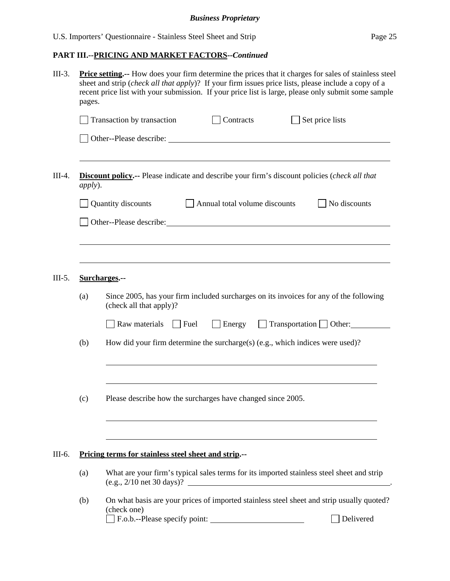| $III-3.$ | <b>Price setting.</b> -- How does your firm determine the prices that it charges for sales of stainless steel<br>sheet and strip (check all that apply)? If your firm issues price lists, please include a copy of a<br>recent price list with your submission. If your price list is large, please only submit some sample<br>pages. |                                                                                                                                                        |  |  |  |  |  |  |  |  |
|----------|---------------------------------------------------------------------------------------------------------------------------------------------------------------------------------------------------------------------------------------------------------------------------------------------------------------------------------------|--------------------------------------------------------------------------------------------------------------------------------------------------------|--|--|--|--|--|--|--|--|
|          |                                                                                                                                                                                                                                                                                                                                       | <b>Contracts</b><br>$\Box$ Set price lists<br>$\Box$ Transaction by transaction                                                                        |  |  |  |  |  |  |  |  |
|          |                                                                                                                                                                                                                                                                                                                                       |                                                                                                                                                        |  |  |  |  |  |  |  |  |
| $III-4.$ | <i>apply</i> ).                                                                                                                                                                                                                                                                                                                       | <b>Discount policy.</b> -- Please indicate and describe your firm's discount policies (check all that                                                  |  |  |  |  |  |  |  |  |
|          |                                                                                                                                                                                                                                                                                                                                       | Quantity discounts<br>Annual total volume discounts<br>No discounts                                                                                    |  |  |  |  |  |  |  |  |
|          |                                                                                                                                                                                                                                                                                                                                       |                                                                                                                                                        |  |  |  |  |  |  |  |  |
| $III-5.$ |                                                                                                                                                                                                                                                                                                                                       | Surcharges.--                                                                                                                                          |  |  |  |  |  |  |  |  |
|          | (a)                                                                                                                                                                                                                                                                                                                                   | Since 2005, has your firm included surcharges on its invoices for any of the following<br>(check all that apply)?                                      |  |  |  |  |  |  |  |  |
|          |                                                                                                                                                                                                                                                                                                                                       | Raw materials<br>$\Box$ Energy $\Box$ Transportation $\Box$ Other:<br>$ $ Fuel                                                                         |  |  |  |  |  |  |  |  |
|          | (b)                                                                                                                                                                                                                                                                                                                                   | How did your firm determine the surcharge(s) (e.g., which indices were used)?                                                                          |  |  |  |  |  |  |  |  |
|          | (c)                                                                                                                                                                                                                                                                                                                                   | Please describe how the surcharges have changed since 2005.                                                                                            |  |  |  |  |  |  |  |  |
| III-6.   |                                                                                                                                                                                                                                                                                                                                       | Pricing terms for stainless steel sheet and strip.--                                                                                                   |  |  |  |  |  |  |  |  |
|          | (a)                                                                                                                                                                                                                                                                                                                                   | What are your firm's typical sales terms for its imported stainless steel sheet and strip<br>$(e.g., 2/10$ net 30 days)?                               |  |  |  |  |  |  |  |  |
|          | (b)                                                                                                                                                                                                                                                                                                                                   | On what basis are your prices of imported stainless steel sheet and strip usually quoted?<br>(check one)<br>F.o.b.--Please specify point:<br>Delivered |  |  |  |  |  |  |  |  |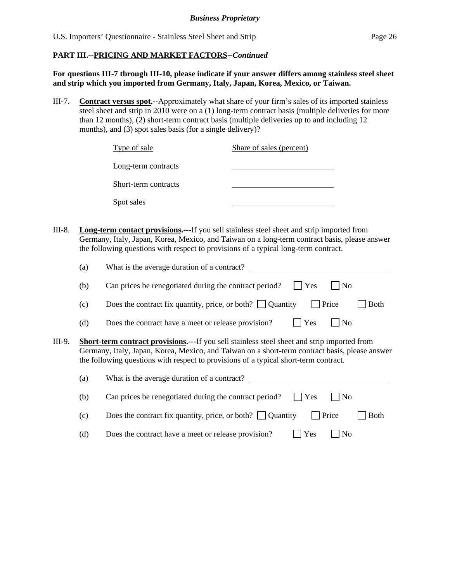**For questions III-7 through III-10, please indicate if your answer differs among stainless steel sheet and strip which you imported from Germany, Italy, Japan, Korea, Mexico, or Taiwan.** 

III-7. **Contract versus spot.--**Approximately what share of your firm's sales of its imported stainless steel sheet and strip in 2010 were on a (1) long-term contract basis (multiple deliveries for more than 12 months), (2) short-term contract basis (multiple deliveries up to and including 12 months), and (3) spot sales basis (for a single delivery)?

|        | Type of sale                                                                                                                                                                                                                                   | Share of sales (percent)                                                                      |
|--------|------------------------------------------------------------------------------------------------------------------------------------------------------------------------------------------------------------------------------------------------|-----------------------------------------------------------------------------------------------|
|        | Long-term contracts                                                                                                                                                                                                                            |                                                                                               |
|        | Short-term contracts                                                                                                                                                                                                                           |                                                                                               |
|        | Spot sales                                                                                                                                                                                                                                     |                                                                                               |
| III-8. | <b>Long-term contact provisions.</b> ---If you sell stainless steel sheet and strip imported from<br>the following questions with respect to provisions of a typical long-term contract.<br>What is the average duration of a contract?<br>(a) | Germany, Italy, Japan, Korea, Mexico, and Taiwan on a long-term contract basis, please answer |

|        | $\left( a\right)$                                                                                                                                                                                                                                                                             | what is the average duration of a contract?                                             |  |  |  |  |
|--------|-----------------------------------------------------------------------------------------------------------------------------------------------------------------------------------------------------------------------------------------------------------------------------------------------|-----------------------------------------------------------------------------------------|--|--|--|--|
|        | (b)                                                                                                                                                                                                                                                                                           | Can prices be renegotiated during the contract period?<br>Yes<br>  No                   |  |  |  |  |
|        | (c)                                                                                                                                                                                                                                                                                           | Does the contract fix quantity, price, or both? $\Box$ Quantity<br>Price<br><b>Both</b> |  |  |  |  |
|        | (d)                                                                                                                                                                                                                                                                                           | Yes<br>$\overline{N}$<br>Does the contract have a meet or release provision?            |  |  |  |  |
| III-9. | <b>Short-term contract provisions.---</b> If you sell stainless steel sheet and strip imported from<br>Germany, Italy, Japan, Korea, Mexico, and Taiwan on a short-term contract basis, please answer<br>the following questions with respect to provisions of a typical short-term contract. |                                                                                         |  |  |  |  |
|        | (a)                                                                                                                                                                                                                                                                                           | What is the average duration of a contract?                                             |  |  |  |  |
|        | (b)                                                                                                                                                                                                                                                                                           | Can prices be renegotiated during the contract period?<br>Yes<br>$\overline{N}$         |  |  |  |  |
|        | (c)                                                                                                                                                                                                                                                                                           | Does the contract fix quantity, price, or both? $\Box$ Quantity<br>Price<br><b>Both</b> |  |  |  |  |
|        | (d)                                                                                                                                                                                                                                                                                           | Does the contract have a meet or release provision?<br>Yes<br>No                        |  |  |  |  |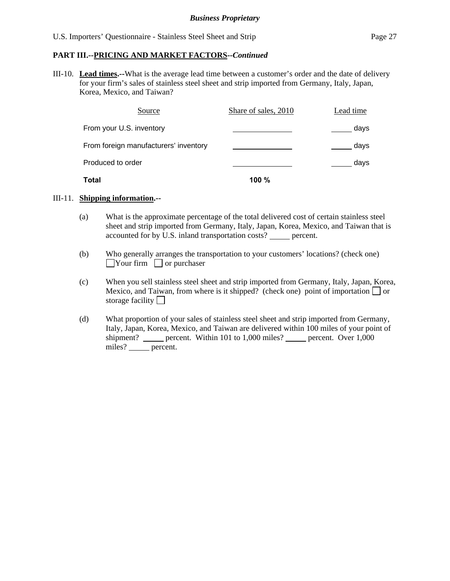III-10. **Lead times.--**What is the average lead time between a customer's order and the date of delivery for your firm's sales of stainless steel sheet and strip imported from Germany, Italy, Japan, Korea, Mexico, and Taiwan?

| Source                                | Share of sales, 2010 | Lead time |
|---------------------------------------|----------------------|-----------|
| From your U.S. inventory              |                      | days      |
| From foreign manufacturers' inventory |                      | days      |
| Produced to order                     |                      | days      |
| Total                                 | 100 $%$              |           |

### III-11. **Shipping information.--**

- (a) What is the approximate percentage of the total delivered cost of certain stainless steel sheet and strip imported from Germany, Italy, Japan, Korea, Mexico, and Taiwan that is accounted for by U.S. inland transportation costs? percent.
- (b) Who generally arranges the transportation to your customers' locations? (check one)  $\Box$ Your firm  $\Box$  or purchaser
- (c) When you sell stainless steel sheet and strip imported from Germany, Italy, Japan, Korea, Mexico, and Taiwan, from where is it shipped? (check one) point of importation  $\Box$  or storage facility
- (d) What proportion of your sales of stainless steel sheet and strip imported from Germany, Italy, Japan, Korea, Mexico, and Taiwan are delivered within 100 miles of your point of shipment? \_\_\_\_\_ percent. Within 101 to 1,000 miles? \_\_\_\_\_ percent. Over 1,000 miles? percent.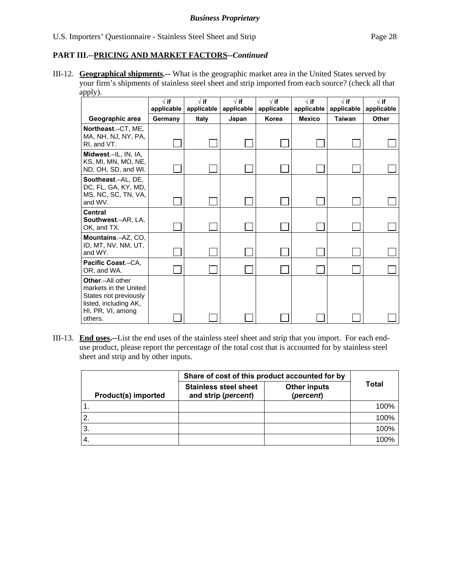III-12. **Geographical shipments.--** What is the geographic market area in the United States served by your firm's shipments of stainless steel sheet and strip imported from each source? (check all that apply).

|                                                                                                                             | $\sqrt{ }$ if<br>applicable | $\sqrt{}$ if<br>applicable | $\sqrt{}$ if<br>applicable | $\sqrt{ }$ if<br>applicable | $\sqrt{}$ if<br>applicable | $\sqrt{ }$ if<br>applicable | $\sqrt{ }$ if<br>applicable |
|-----------------------------------------------------------------------------------------------------------------------------|-----------------------------|----------------------------|----------------------------|-----------------------------|----------------------------|-----------------------------|-----------------------------|
| Geographic area                                                                                                             | Germany                     | <b>Italy</b>               | Japan                      | Korea                       | <b>Mexico</b>              | <b>Taiwan</b>               | Other                       |
| Northeast.-CT, ME,<br>MA, NH, NJ, NY, PA,<br>RI. and VT.                                                                    |                             |                            |                            |                             |                            |                             |                             |
| Midwest.-IL, IN, IA,<br>KS, MI, MN, MO, NE,<br>ND, OH, SD, and WI.                                                          |                             |                            |                            |                             |                            |                             |                             |
| Southeast.-AL, DE,<br>DC, FL, GA, KY, MD,<br>MS, NC, SC, TN, VA,<br>and WV.                                                 |                             |                            |                            |                             |                            |                             |                             |
| <b>Central</b><br>Southwest.-AR, LA,<br>OK, and TX.                                                                         |                             |                            |                            |                             |                            |                             |                             |
| Mountains.-AZ, CO,<br>ID, MT, NV, NM, UT,<br>and WY.                                                                        |                             |                            |                            |                             |                            |                             |                             |
| Pacific Coast.-CA.<br>OR, and WA.                                                                                           |                             |                            |                            |                             |                            |                             |                             |
| Other.-All other<br>markets in the United<br>States not previously<br>listed, including AK,<br>HI, PR, VI, among<br>others. |                             |                            |                            |                             |                            |                             |                             |

III-13. **End uses.--**List the end uses of the stainless steel sheet and strip that you import. For each enduse product, please report the percentage of the total cost that is accounted for by stainless steel sheet and strip and by other inputs.

|                            | Share of cost of this product accounted for by      |                                  |       |
|----------------------------|-----------------------------------------------------|----------------------------------|-------|
| <b>Product(s) imported</b> | <b>Stainless steel sheet</b><br>and strip (percent) | <b>Other inputs</b><br>(percent) | Total |
|                            |                                                     |                                  | 100%  |
|                            |                                                     |                                  | 100%  |
| З.                         |                                                     |                                  | 100%  |
|                            |                                                     |                                  | 100%  |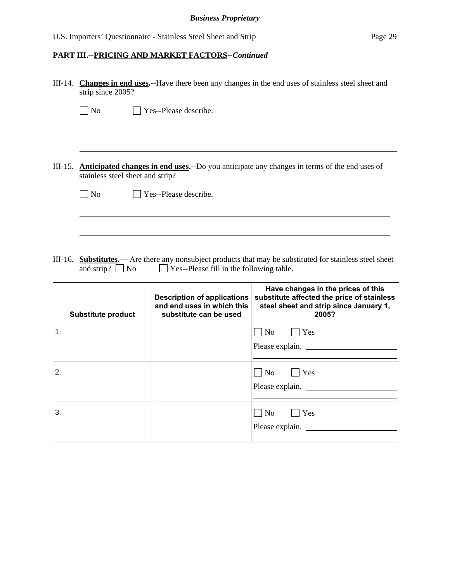|    | III-14. Changes in end uses.--Have there been any changes in the end uses of stainless steel sheet and<br>strip since 2005? |                                                                                            |                                                                                                                                     |  |
|----|-----------------------------------------------------------------------------------------------------------------------------|--------------------------------------------------------------------------------------------|-------------------------------------------------------------------------------------------------------------------------------------|--|
|    | $\n  o$                                                                                                                     | $\Box$ Yes--Please describe.                                                               |                                                                                                                                     |  |
|    |                                                                                                                             |                                                                                            |                                                                                                                                     |  |
|    | stainless steel sheet and strip?                                                                                            |                                                                                            | III-15. Anticipated changes in end uses.--Do you anticipate any changes in terms of the end uses of                                 |  |
|    | $\Box$ No                                                                                                                   | $\Box$ Yes--Please describe.                                                               |                                                                                                                                     |  |
|    |                                                                                                                             |                                                                                            |                                                                                                                                     |  |
|    |                                                                                                                             |                                                                                            |                                                                                                                                     |  |
|    | and strip? $\Box$ No                                                                                                        | $\Box$ Yes--Please fill in the following table.                                            | III-16. Substitutes.— Are there any nonsubject products that may be substituted for stainless steel sheet                           |  |
|    | <b>Substitute product</b>                                                                                                   | <b>Description of applications</b><br>and end uses in which this<br>substitute can be used | Have changes in the prices of this<br>substitute affected the price of stainless<br>steel sheet and strip since January 1,<br>2005? |  |
| 1. |                                                                                                                             |                                                                                            | $\Box$ No<br>$\Box$ Yes                                                                                                             |  |
|    |                                                                                                                             |                                                                                            | Please explain.                                                                                                                     |  |
| 2. |                                                                                                                             |                                                                                            | $\Box$ No<br>$\blacksquare$ Yes                                                                                                     |  |
|    |                                                                                                                             |                                                                                            | Please explain.                                                                                                                     |  |
| 3. |                                                                                                                             |                                                                                            | $\Box$ No<br>Yes                                                                                                                    |  |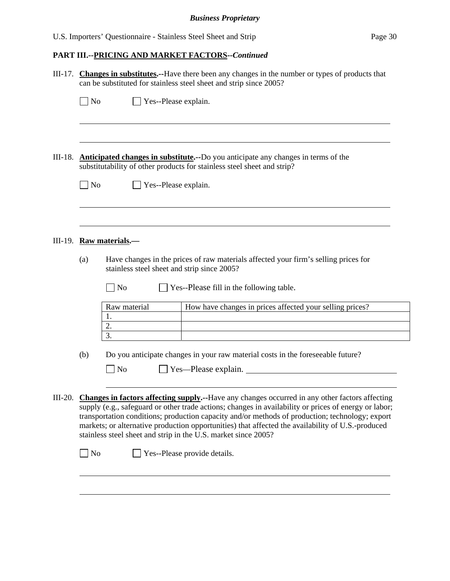|           | III-17. Changes in substitutes.--Have there been any changes in the number or types of products that<br>can be substituted for stainless steel sheet and strip since 2005?                                                                                                                                                                                                                                                                                                                                                     |  |  |
|-----------|--------------------------------------------------------------------------------------------------------------------------------------------------------------------------------------------------------------------------------------------------------------------------------------------------------------------------------------------------------------------------------------------------------------------------------------------------------------------------------------------------------------------------------|--|--|
|           | $\Box$ No<br>$\Box$ Yes--Please explain.                                                                                                                                                                                                                                                                                                                                                                                                                                                                                       |  |  |
|           |                                                                                                                                                                                                                                                                                                                                                                                                                                                                                                                                |  |  |
| $III-18.$ | <b>Anticipated changes in substitute.</b> --Do you anticipate any changes in terms of the<br>substitutability of other products for stainless steel sheet and strip?                                                                                                                                                                                                                                                                                                                                                           |  |  |
|           | $\Box$ No<br>Yes--Please explain.                                                                                                                                                                                                                                                                                                                                                                                                                                                                                              |  |  |
|           |                                                                                                                                                                                                                                                                                                                                                                                                                                                                                                                                |  |  |
|           | III-19. Raw materials.—                                                                                                                                                                                                                                                                                                                                                                                                                                                                                                        |  |  |
|           | Have changes in the prices of raw materials affected your firm's selling prices for<br>(a)<br>stainless steel sheet and strip since 2005?                                                                                                                                                                                                                                                                                                                                                                                      |  |  |
|           | No<br>Yes--Please fill in the following table.                                                                                                                                                                                                                                                                                                                                                                                                                                                                                 |  |  |
|           | How have changes in prices affected your selling prices?<br>Raw material<br>1.                                                                                                                                                                                                                                                                                                                                                                                                                                                 |  |  |
|           | 2.<br>3.                                                                                                                                                                                                                                                                                                                                                                                                                                                                                                                       |  |  |
|           | Do you anticipate changes in your raw material costs in the foreseeable future?<br>(b)                                                                                                                                                                                                                                                                                                                                                                                                                                         |  |  |
|           | $\Box$ No<br>Yes—Please explain.                                                                                                                                                                                                                                                                                                                                                                                                                                                                                               |  |  |
| $III-20.$ | Changes in factors affecting supply.--Have any changes occurred in any other factors affecting<br>supply (e.g., safeguard or other trade actions; changes in availability or prices of energy or labor;<br>transportation conditions; production capacity and/or methods of production; technology; export<br>markets; or alternative production opportunities) that affected the availability of U.S.-produced<br>stainless steel sheet and strip in the U.S. market since 2005?<br>$\Box$ No<br>Yes--Please provide details. |  |  |
|           |                                                                                                                                                                                                                                                                                                                                                                                                                                                                                                                                |  |  |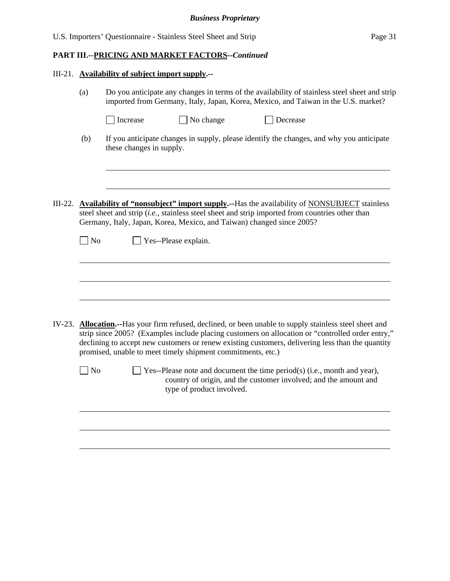| III-21. Availability of subject import supply.-- |                                                                                                                                                                                     |                                                                                               |                                                                                                                                                                                                                                                                                                                                                                                                                                                                                |  |  |
|--------------------------------------------------|-------------------------------------------------------------------------------------------------------------------------------------------------------------------------------------|-----------------------------------------------------------------------------------------------|--------------------------------------------------------------------------------------------------------------------------------------------------------------------------------------------------------------------------------------------------------------------------------------------------------------------------------------------------------------------------------------------------------------------------------------------------------------------------------|--|--|
| (a)                                              | Do you anticipate any changes in terms of the availability of stainless steel sheet and strip<br>imported from Germany, Italy, Japan, Korea, Mexico, and Taiwan in the U.S. market? |                                                                                               |                                                                                                                                                                                                                                                                                                                                                                                                                                                                                |  |  |
|                                                  | Increase                                                                                                                                                                            | $\Box$ No change                                                                              | Decrease                                                                                                                                                                                                                                                                                                                                                                                                                                                                       |  |  |
| (b)                                              | these changes in supply.                                                                                                                                                            |                                                                                               | If you anticipate changes in supply, please identify the changes, and why you anticipate                                                                                                                                                                                                                                                                                                                                                                                       |  |  |
| $\log$                                           |                                                                                                                                                                                     | Germany, Italy, Japan, Korea, Mexico, and Taiwan) changed since 2005?<br>Yes--Please explain. | III-22. <b>Availability of "nonsubject" import supply.</b> --Has the availability of <b>NONSUBJECT</b> stainless<br>steel sheet and strip (i.e., stainless steel sheet and strip imported from countries other than                                                                                                                                                                                                                                                            |  |  |
|                                                  |                                                                                                                                                                                     |                                                                                               |                                                                                                                                                                                                                                                                                                                                                                                                                                                                                |  |  |
|                                                  |                                                                                                                                                                                     |                                                                                               |                                                                                                                                                                                                                                                                                                                                                                                                                                                                                |  |  |
| $\log$                                           |                                                                                                                                                                                     | promised, unable to meet timely shipment commitments, etc.)<br>type of product involved.      | IV-23. <b>Allocation.</b> --Has your firm refused, declined, or been unable to supply stainless steel sheet and<br>strip since 2005? (Examples include placing customers on allocation or "controlled order entry,"<br>declining to accept new customers or renew existing customers, delivering less than the quantity<br>$\Box$ Yes--Please note and document the time period(s) (i.e., month and year),<br>country of origin, and the customer involved; and the amount and |  |  |
|                                                  |                                                                                                                                                                                     |                                                                                               |                                                                                                                                                                                                                                                                                                                                                                                                                                                                                |  |  |
|                                                  |                                                                                                                                                                                     |                                                                                               |                                                                                                                                                                                                                                                                                                                                                                                                                                                                                |  |  |
|                                                  |                                                                                                                                                                                     |                                                                                               |                                                                                                                                                                                                                                                                                                                                                                                                                                                                                |  |  |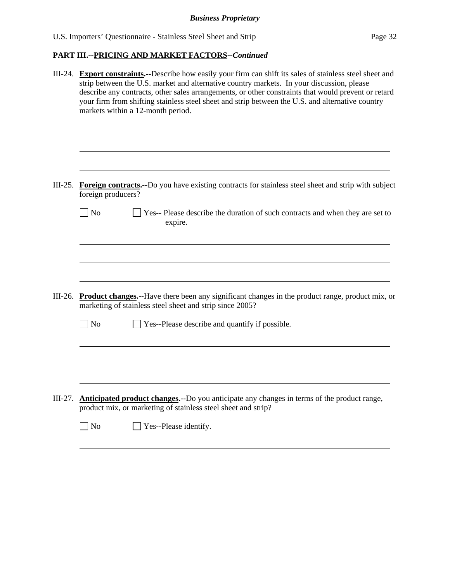|           | III-24. Export constraints.--Describe how easily your firm can shift its sales of stainless steel sheet and<br>strip between the U.S. market and alternative country markets. In your discussion, please<br>describe any contracts, other sales arrangements, or other constraints that would prevent or retard<br>your firm from shifting stainless steel sheet and strip between the U.S. and alternative country<br>markets within a 12-month period. |
|-----------|----------------------------------------------------------------------------------------------------------------------------------------------------------------------------------------------------------------------------------------------------------------------------------------------------------------------------------------------------------------------------------------------------------------------------------------------------------|
|           | III-25. Foreign contracts.--Do you have existing contracts for stainless steel sheet and strip with subject                                                                                                                                                                                                                                                                                                                                              |
|           | foreign producers?                                                                                                                                                                                                                                                                                                                                                                                                                                       |
|           | $\overline{\phantom{1}}$ No<br>Yes-- Please describe the duration of such contracts and when they are set to<br>expire.                                                                                                                                                                                                                                                                                                                                  |
|           |                                                                                                                                                                                                                                                                                                                                                                                                                                                          |
|           |                                                                                                                                                                                                                                                                                                                                                                                                                                                          |
|           |                                                                                                                                                                                                                                                                                                                                                                                                                                                          |
|           | III-26. Product changes.--Have there been any significant changes in the product range, product mix, or<br>marketing of stainless steel sheet and strip since 2005?                                                                                                                                                                                                                                                                                      |
|           | $\blacksquare$ No<br>Yes--Please describe and quantify if possible.                                                                                                                                                                                                                                                                                                                                                                                      |
|           |                                                                                                                                                                                                                                                                                                                                                                                                                                                          |
|           |                                                                                                                                                                                                                                                                                                                                                                                                                                                          |
| $III-27.$ | Anticipated product changes.--Do you anticipate any changes in terms of the product range,<br>product mix, or marketing of stainless steel sheet and strip?                                                                                                                                                                                                                                                                                              |
|           | $\Box$ No<br>Yes--Please identify.                                                                                                                                                                                                                                                                                                                                                                                                                       |
|           |                                                                                                                                                                                                                                                                                                                                                                                                                                                          |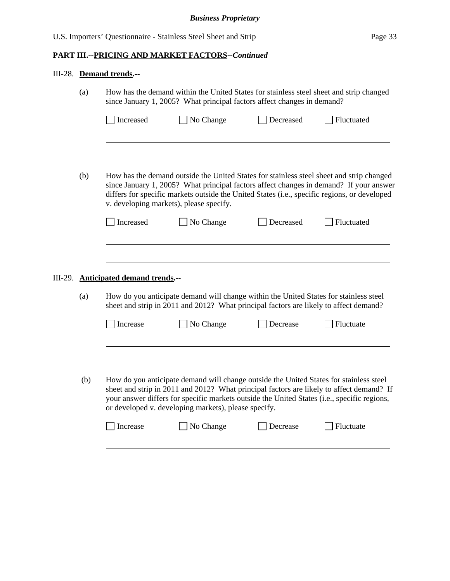|  | III-28. Demand trends.-- |
|--|--------------------------|
|  |                          |

 $\overline{a}$ 

| (a) |           | How has the demand within the United States for stainless steel sheet and strip changed<br>since January 1, 2005? What principal factors affect changes in demand? |           |            |  |
|-----|-----------|--------------------------------------------------------------------------------------------------------------------------------------------------------------------|-----------|------------|--|
|     | Increased | No Change                                                                                                                                                          | Decreased | Fluctuated |  |

(b) How has the demand outside the United States for stainless steel sheet and strip changed since January 1, 2005? What principal factors affect changes in demand? If your answer differs for specific markets outside the United States (i.e., specific regions, or developed v. developing markets), please specify.

| Increased | $\Box$ No Change | Decreased | Fluctuated |
|-----------|------------------|-----------|------------|
|           |                  |           |            |

# III-29. **Anticipated demand trends.--**

 $\overline{a}$ 

(a) How do you anticipate demand will change within the United States for stainless steel sheet and strip in 2011 and 2012? What principal factors are likely to affect demand?

|     | Increase | No Change                                                                                                                                                                                                                                     | Decrease        | Fluctuate                                                                                |
|-----|----------|-----------------------------------------------------------------------------------------------------------------------------------------------------------------------------------------------------------------------------------------------|-----------------|------------------------------------------------------------------------------------------|
| (b) |          | How do you anticipate demand will change outside the United States for stainless steel<br>your answer differs for specific markets outside the United States (i.e., specific regions,<br>or developed v. developing markets), please specify. |                 | sheet and strip in 2011 and 2012? What principal factors are likely to affect demand? If |
|     | Increase | No Change                                                                                                                                                                                                                                     | <b>Decrease</b> | Fluctuate                                                                                |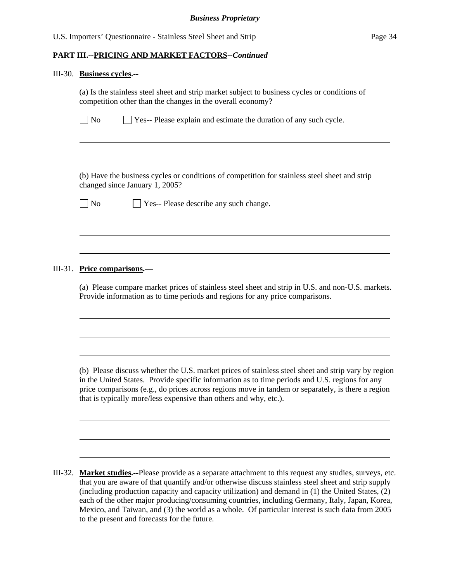| III-30. Business cycles.--                                                                                                                                                                                                                                                                                                                                                      |
|---------------------------------------------------------------------------------------------------------------------------------------------------------------------------------------------------------------------------------------------------------------------------------------------------------------------------------------------------------------------------------|
| (a) Is the stainless steel sheet and strip market subject to business cycles or conditions of<br>competition other than the changes in the overall economy?                                                                                                                                                                                                                     |
| ] No<br>$\Box$ Yes-- Please explain and estimate the duration of any such cycle.                                                                                                                                                                                                                                                                                                |
| (b) Have the business cycles or conditions of competition for stainless steel sheet and strip                                                                                                                                                                                                                                                                                   |
| changed since January 1, 2005?<br>] No<br>Yes-- Please describe any such change.                                                                                                                                                                                                                                                                                                |
| III-31. Price comparisons.-                                                                                                                                                                                                                                                                                                                                                     |
| (a) Please compare market prices of stainless steel sheet and strip in U.S. and non-U.S. markets.<br>Provide information as to time periods and regions for any price comparisons.                                                                                                                                                                                              |
|                                                                                                                                                                                                                                                                                                                                                                                 |
| (b) Please discuss whether the U.S. market prices of stainless steel sheet and strip vary by region<br>in the United States. Provide specific information as to time periods and U.S. regions for any<br>price comparisons (e.g., do prices across regions move in tandem or separately, is there a region<br>that is typically more/less expensive than others and why, etc.). |
|                                                                                                                                                                                                                                                                                                                                                                                 |

III-32. **Market studies.--**Please provide as a separate attachment to this request any studies, surveys, etc. that you are aware of that quantify and/or otherwise discuss stainless steel sheet and strip supply (including production capacity and capacity utilization) and demand in (1) the United States, (2) each of the other major producing/consuming countries, including Germany, Italy, Japan, Korea, Mexico, and Taiwan, and (3) the world as a whole. Of particular interest is such data from 2005 to the present and forecasts for the future.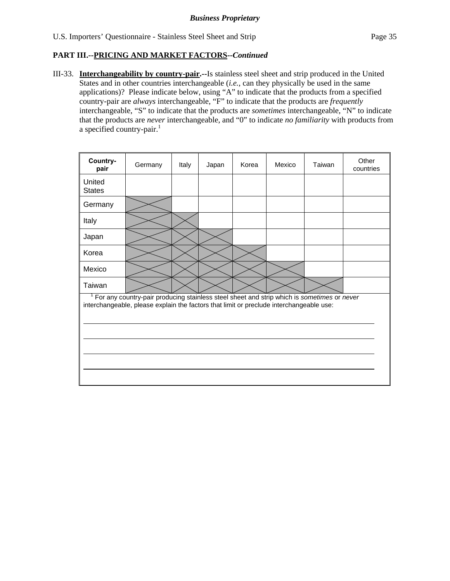III-33. **Interchangeability by country-pair.--**Is stainless steel sheet and strip produced in the United States and in other countries interchangeable (*i.e.*, can they physically be used in the same applications)? Please indicate below, using "A" to indicate that the products from a specified country-pair are *always* interchangeable, "F" to indicate that the products are *frequently* interchangeable, "S" to indicate that the products are *sometimes* interchangeable, "N" to indicate that the products are *never* interchangeable, and "0" to indicate *no familiarity* with products from a specified country-pair. $<sup>1</sup>$ </sup>

| Country-<br>pair        | Germany                                                                                                                                                                                            | Italy | Japan | Korea | Mexico | Taiwan | Other<br>countries |
|-------------------------|----------------------------------------------------------------------------------------------------------------------------------------------------------------------------------------------------|-------|-------|-------|--------|--------|--------------------|
| United<br><b>States</b> |                                                                                                                                                                                                    |       |       |       |        |        |                    |
| Germany                 |                                                                                                                                                                                                    |       |       |       |        |        |                    |
| Italy                   |                                                                                                                                                                                                    |       |       |       |        |        |                    |
| Japan                   |                                                                                                                                                                                                    |       |       |       |        |        |                    |
| Korea                   |                                                                                                                                                                                                    |       |       |       |        |        |                    |
| Mexico                  |                                                                                                                                                                                                    |       |       |       |        |        |                    |
| Taiwan                  |                                                                                                                                                                                                    |       |       |       |        |        |                    |
|                         | <sup>1</sup> For any country-pair producing stainless steel sheet and strip which is sometimes or never<br>interchangeable, please explain the factors that limit or preclude interchangeable use: |       |       |       |        |        |                    |